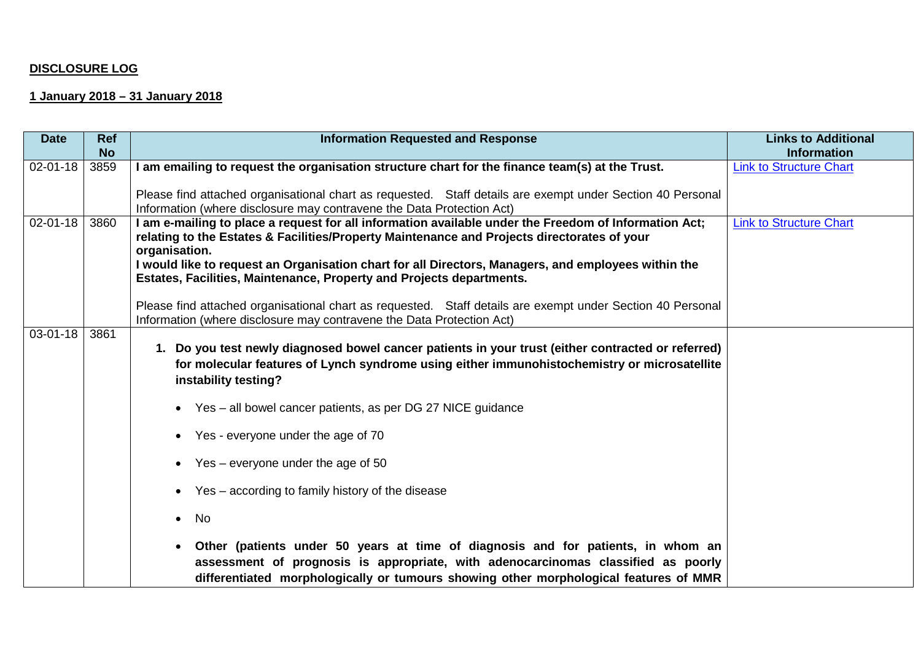# **DISCLOSURE LOG**

# **1 January 2018 – 31 January 2018**

| <b>Date</b>    | <b>Ref</b> | <b>Information Requested and Response</b>                                                                                                                                                                                                                                                                                                                                                                                                                                                                                                                                                                                                                                                                                 | <b>Links to Additional</b>     |
|----------------|------------|---------------------------------------------------------------------------------------------------------------------------------------------------------------------------------------------------------------------------------------------------------------------------------------------------------------------------------------------------------------------------------------------------------------------------------------------------------------------------------------------------------------------------------------------------------------------------------------------------------------------------------------------------------------------------------------------------------------------------|--------------------------------|
|                | <b>No</b>  |                                                                                                                                                                                                                                                                                                                                                                                                                                                                                                                                                                                                                                                                                                                           | <b>Information</b>             |
| 02-01-18       | 3859       | I am emailing to request the organisation structure chart for the finance team(s) at the Trust.<br>Please find attached organisational chart as requested. Staff details are exempt under Section 40 Personal<br>Information (where disclosure may contravene the Data Protection Act)                                                                                                                                                                                                                                                                                                                                                                                                                                    | <b>Link to Structure Chart</b> |
| $02 - 01 - 18$ | 3860       | I am e-mailing to place a request for all information available under the Freedom of Information Act;<br>relating to the Estates & Facilities/Property Maintenance and Projects directorates of your<br>organisation.<br>I would like to request an Organisation chart for all Directors, Managers, and employees within the<br>Estates, Facilities, Maintenance, Property and Projects departments.<br>Please find attached organisational chart as requested. Staff details are exempt under Section 40 Personal<br>Information (where disclosure may contravene the Data Protection Act)                                                                                                                               | <b>Link to Structure Chart</b> |
| 03-01-18       | 3861       | 1. Do you test newly diagnosed bowel cancer patients in your trust (either contracted or referred)<br>for molecular features of Lynch syndrome using either immunohistochemistry or microsatellite<br>instability testing?<br>• Yes – all bowel cancer patients, as per DG 27 NICE guidance<br>• Yes - everyone under the age of 70<br>Yes – everyone under the age of 50<br>Yes – according to family history of the disease<br><b>No</b><br>$\bullet$<br>Other (patients under 50 years at time of diagnosis and for patients, in whom an<br>assessment of prognosis is appropriate, with adenocarcinomas classified as poorly<br>differentiated morphologically or tumours showing other morphological features of MMR |                                |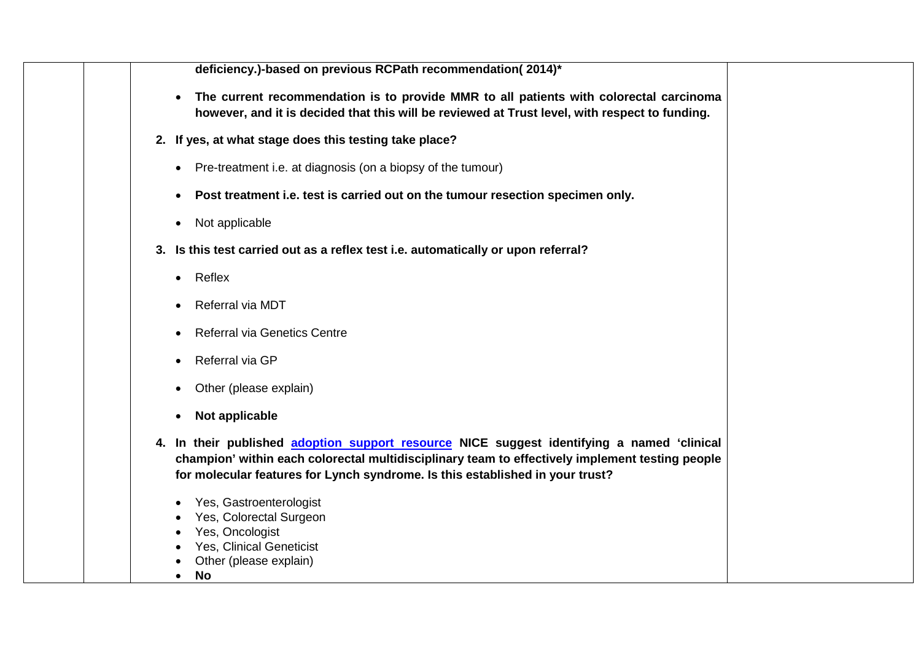**deficiency.)-based on previous RCPath recommendation( 2014)\***

- **The current recommendation is to provide MMR to all patients with colorectal carcinoma however, and it is decided that this will be reviewed at Trust level, with respect to funding.**
- **2. If yes, at what stage does this testing take place?**
	- Pre-treatment i.e. at diagnosis (on a biopsy of the tumour)
	- **Post treatment i.e. test is carried out on the tumour resection specimen only.**
	- Not applicable
- **3. Is this test carried out as a reflex test i.e. automatically or upon referral?**
	- Reflex
	- Referral via MDT
	- Referral via Genetics Centre
	- Referral via GP
	- Other (please explain)
	- **Not applicable**
- **4. In their published [adoption support resource](https://www.nice.org.uk/guidance/dg27/resources/adoption-support-resource-insights-from-the-nhs-4365652429/chapter/1-Introduction) NICE suggest identifying a named 'clinical champion' within each colorectal multidisciplinary team to effectively implement testing people for molecular features for Lynch syndrome. Is this established in your trust?** 
	- Yes, Gastroenterologist
	- Yes, Colorectal Surgeon
	- Yes, Oncologist
	- Yes, Clinical Geneticist
	- Other (please explain)
	- **No**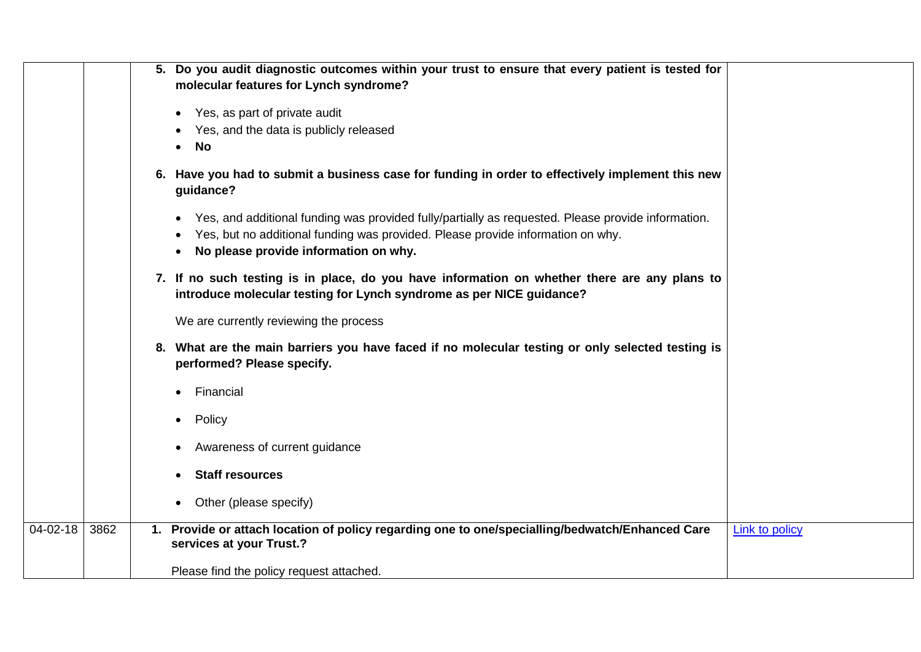|                |      | 5. Do you audit diagnostic outcomes within your trust to ensure that every patient is tested for<br>molecular features for Lynch syndrome?                                                                                                  |                       |
|----------------|------|---------------------------------------------------------------------------------------------------------------------------------------------------------------------------------------------------------------------------------------------|-----------------------|
|                |      | Yes, as part of private audit                                                                                                                                                                                                               |                       |
|                |      | Yes, and the data is publicly released<br><b>No</b>                                                                                                                                                                                         |                       |
|                |      | 6. Have you had to submit a business case for funding in order to effectively implement this new<br>guidance?                                                                                                                               |                       |
|                |      | Yes, and additional funding was provided fully/partially as requested. Please provide information.<br>$\bullet$<br>Yes, but no additional funding was provided. Please provide information on why.<br>No please provide information on why. |                       |
|                |      | 7. If no such testing is in place, do you have information on whether there are any plans to<br>introduce molecular testing for Lynch syndrome as per NICE guidance?                                                                        |                       |
|                |      | We are currently reviewing the process                                                                                                                                                                                                      |                       |
|                |      | 8. What are the main barriers you have faced if no molecular testing or only selected testing is<br>performed? Please specify.                                                                                                              |                       |
|                |      | Financial                                                                                                                                                                                                                                   |                       |
|                |      | Policy                                                                                                                                                                                                                                      |                       |
|                |      | Awareness of current guidance                                                                                                                                                                                                               |                       |
|                |      | <b>Staff resources</b>                                                                                                                                                                                                                      |                       |
|                |      | Other (please specify)                                                                                                                                                                                                                      |                       |
| $04 - 02 - 18$ | 3862 | Provide or attach location of policy regarding one to one/specialling/bedwatch/Enhanced Care<br>services at your Trust.?                                                                                                                    | <b>Link to policy</b> |
|                |      | Please find the policy request attached.                                                                                                                                                                                                    |                       |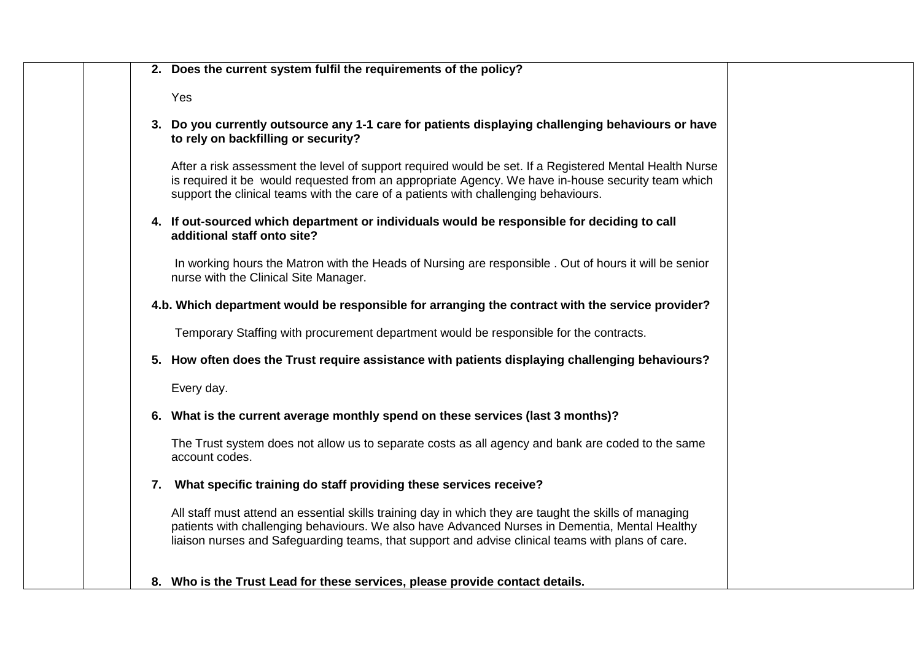| 2. Does the current system fulfil the requirements of the policy?                                                                                                                                                                                                                                             |
|---------------------------------------------------------------------------------------------------------------------------------------------------------------------------------------------------------------------------------------------------------------------------------------------------------------|
| Yes                                                                                                                                                                                                                                                                                                           |
| 3. Do you currently outsource any 1-1 care for patients displaying challenging behaviours or have<br>to rely on backfilling or security?                                                                                                                                                                      |
| After a risk assessment the level of support required would be set. If a Registered Mental Health Nurse<br>is required it be would requested from an appropriate Agency. We have in-house security team which<br>support the clinical teams with the care of a patients with challenging behaviours.          |
| 4. If out-sourced which department or individuals would be responsible for deciding to call<br>additional staff onto site?                                                                                                                                                                                    |
| In working hours the Matron with the Heads of Nursing are responsible . Out of hours it will be senior<br>nurse with the Clinical Site Manager.                                                                                                                                                               |
| 4.b. Which department would be responsible for arranging the contract with the service provider?                                                                                                                                                                                                              |
| Temporary Staffing with procurement department would be responsible for the contracts.                                                                                                                                                                                                                        |
| 5. How often does the Trust require assistance with patients displaying challenging behaviours?                                                                                                                                                                                                               |
| Every day.                                                                                                                                                                                                                                                                                                    |
| 6. What is the current average monthly spend on these services (last 3 months)?                                                                                                                                                                                                                               |
| The Trust system does not allow us to separate costs as all agency and bank are coded to the same<br>account codes.                                                                                                                                                                                           |
| 7. What specific training do staff providing these services receive?                                                                                                                                                                                                                                          |
| All staff must attend an essential skills training day in which they are taught the skills of managing<br>patients with challenging behaviours. We also have Advanced Nurses in Dementia, Mental Healthy<br>liaison nurses and Safeguarding teams, that support and advise clinical teams with plans of care. |
| 8. Who is the Trust Lead for these services, please provide contact details.                                                                                                                                                                                                                                  |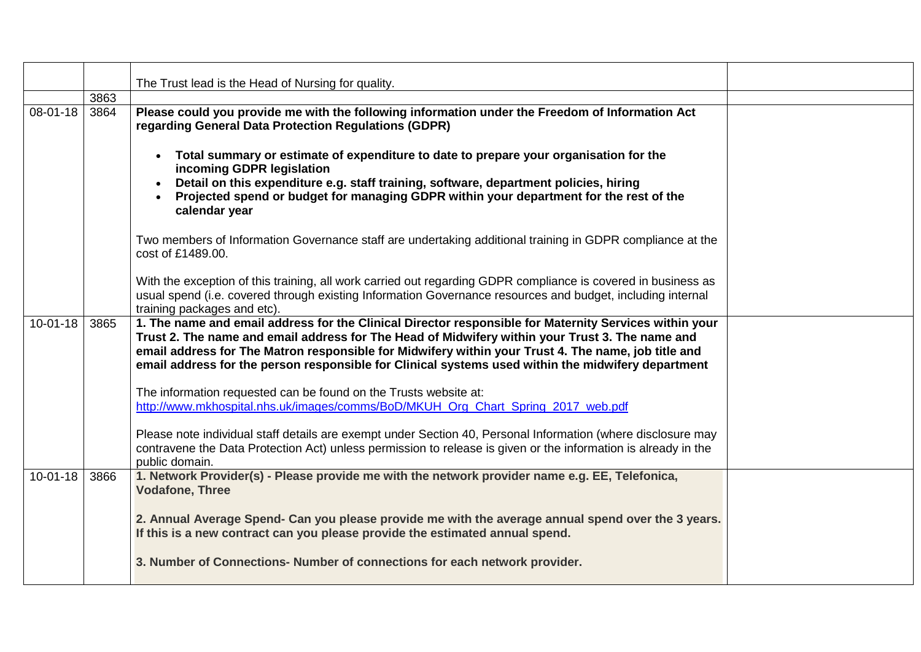|                | 3863 | The Trust lead is the Head of Nursing for quality.                                                                                                                                                                                                                                                                                                                                                                     |  |
|----------------|------|------------------------------------------------------------------------------------------------------------------------------------------------------------------------------------------------------------------------------------------------------------------------------------------------------------------------------------------------------------------------------------------------------------------------|--|
| 08-01-18       | 3864 | Please could you provide me with the following information under the Freedom of Information Act<br>regarding General Data Protection Regulations (GDPR)                                                                                                                                                                                                                                                                |  |
|                |      | Total summary or estimate of expenditure to date to prepare your organisation for the<br>$\bullet$<br>incoming GDPR legislation<br>Detail on this expenditure e.g. staff training, software, department policies, hiring<br>Projected spend or budget for managing GDPR within your department for the rest of the<br>calendar year                                                                                    |  |
|                |      | Two members of Information Governance staff are undertaking additional training in GDPR compliance at the<br>cost of £1489.00.                                                                                                                                                                                                                                                                                         |  |
|                |      | With the exception of this training, all work carried out regarding GDPR compliance is covered in business as<br>usual spend (i.e. covered through existing Information Governance resources and budget, including internal<br>training packages and etc).                                                                                                                                                             |  |
| $10 - 01 - 18$ | 3865 | 1. The name and email address for the Clinical Director responsible for Maternity Services within your<br>Trust 2. The name and email address for The Head of Midwifery within your Trust 3. The name and<br>email address for The Matron responsible for Midwifery within your Trust 4. The name, job title and<br>email address for the person responsible for Clinical systems used within the midwifery department |  |
|                |      | The information requested can be found on the Trusts website at:<br>http://www.mkhospital.nhs.uk/images/comms/BoD/MKUH_Org_Chart_Spring_2017_web.pdf                                                                                                                                                                                                                                                                   |  |
|                |      | Please note individual staff details are exempt under Section 40, Personal Information (where disclosure may<br>contravene the Data Protection Act) unless permission to release is given or the information is already in the<br>public domain.                                                                                                                                                                       |  |
| $10 - 01 - 18$ | 3866 | 1. Network Provider(s) - Please provide me with the network provider name e.g. EE, Telefonica,<br><b>Vodafone, Three</b>                                                                                                                                                                                                                                                                                               |  |
|                |      | 2. Annual Average Spend- Can you please provide me with the average annual spend over the 3 years.<br>If this is a new contract can you please provide the estimated annual spend.                                                                                                                                                                                                                                     |  |
|                |      | 3. Number of Connections- Number of connections for each network provider.                                                                                                                                                                                                                                                                                                                                             |  |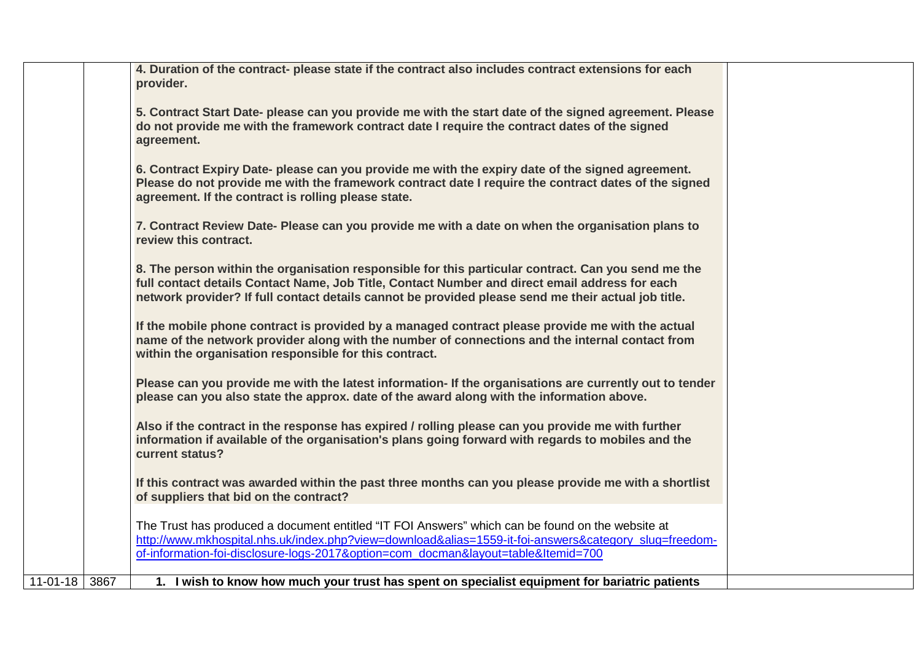|               | 4. Duration of the contract- please state if the contract also includes contract extensions for each<br>provider.                                                                                                                                                                                            |  |
|---------------|--------------------------------------------------------------------------------------------------------------------------------------------------------------------------------------------------------------------------------------------------------------------------------------------------------------|--|
|               | 5. Contract Start Date- please can you provide me with the start date of the signed agreement. Please<br>do not provide me with the framework contract date I require the contract dates of the signed<br>agreement.                                                                                         |  |
|               | 6. Contract Expiry Date- please can you provide me with the expiry date of the signed agreement.<br>Please do not provide me with the framework contract date I require the contract dates of the signed<br>agreement. If the contract is rolling please state.                                              |  |
|               | 7. Contract Review Date- Please can you provide me with a date on when the organisation plans to<br>review this contract.                                                                                                                                                                                    |  |
|               | 8. The person within the organisation responsible for this particular contract. Can you send me the<br>full contact details Contact Name, Job Title, Contact Number and direct email address for each<br>network provider? If full contact details cannot be provided please send me their actual job title. |  |
|               | If the mobile phone contract is provided by a managed contract please provide me with the actual<br>name of the network provider along with the number of connections and the internal contact from<br>within the organisation responsible for this contract.                                                |  |
|               | Please can you provide me with the latest information- If the organisations are currently out to tender<br>please can you also state the approx. date of the award along with the information above.                                                                                                         |  |
|               | Also if the contract in the response has expired / rolling please can you provide me with further<br>information if available of the organisation's plans going forward with regards to mobiles and the<br>current status?                                                                                   |  |
|               | If this contract was awarded within the past three months can you please provide me with a shortlist<br>of suppliers that bid on the contract?                                                                                                                                                               |  |
|               | The Trust has produced a document entitled "IT FOI Answers" which can be found on the website at<br>http://www.mkhospital.nhs.uk/index.php?view=download&alias=1559-it-foi-answers&category_slug=freedom-<br>of-information-foi-disclosure-logs-2017&option=com_docman&layout=table&Itemid=700               |  |
| 11-01-18 3867 | 1. I wish to know how much your trust has spent on specialist equipment for bariatric patients                                                                                                                                                                                                               |  |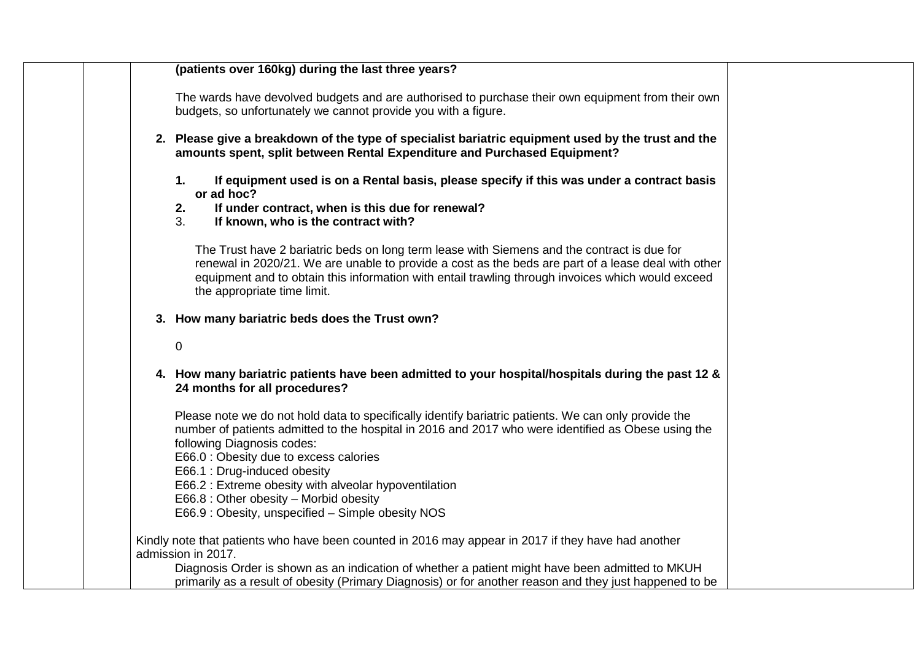| (patients over 160kg) during the last three years?                                                                                                                                                                                                                                                                                     |
|----------------------------------------------------------------------------------------------------------------------------------------------------------------------------------------------------------------------------------------------------------------------------------------------------------------------------------------|
| The wards have devolved budgets and are authorised to purchase their own equipment from their own<br>budgets, so unfortunately we cannot provide you with a figure.                                                                                                                                                                    |
| 2. Please give a breakdown of the type of specialist bariatric equipment used by the trust and the<br>amounts spent, split between Rental Expenditure and Purchased Equipment?                                                                                                                                                         |
| If equipment used is on a Rental basis, please specify if this was under a contract basis<br>1.<br>or ad hoc?                                                                                                                                                                                                                          |
| 2.<br>If under contract, when is this due for renewal?<br>3 <sub>1</sub><br>If known, who is the contract with?                                                                                                                                                                                                                        |
| The Trust have 2 bariatric beds on long term lease with Siemens and the contract is due for<br>renewal in 2020/21. We are unable to provide a cost as the beds are part of a lease deal with other<br>equipment and to obtain this information with entail trawling through invoices which would exceed<br>the appropriate time limit. |
| 3. How many bariatric beds does the Trust own?                                                                                                                                                                                                                                                                                         |
| $\mathbf 0$                                                                                                                                                                                                                                                                                                                            |
| 4. How many bariatric patients have been admitted to your hospital/hospitals during the past 12 &<br>24 months for all procedures?                                                                                                                                                                                                     |
| Please note we do not hold data to specifically identify bariatric patients. We can only provide the<br>number of patients admitted to the hospital in 2016 and 2017 who were identified as Obese using the<br>following Diagnosis codes:<br>E66.0 : Obesity due to excess calories<br>E66.1 : Drug-induced obesity                    |
| E66.2 : Extreme obesity with alveolar hypoventilation<br>E66.8 : Other obesity - Morbid obesity                                                                                                                                                                                                                                        |
| E66.9 : Obesity, unspecified - Simple obesity NOS                                                                                                                                                                                                                                                                                      |
| Kindly note that patients who have been counted in 2016 may appear in 2017 if they have had another<br>admission in 2017.                                                                                                                                                                                                              |
| Diagnosis Order is shown as an indication of whether a patient might have been admitted to MKUH<br>primarily as a result of obesity (Primary Diagnosis) or for another reason and they just happened to be                                                                                                                             |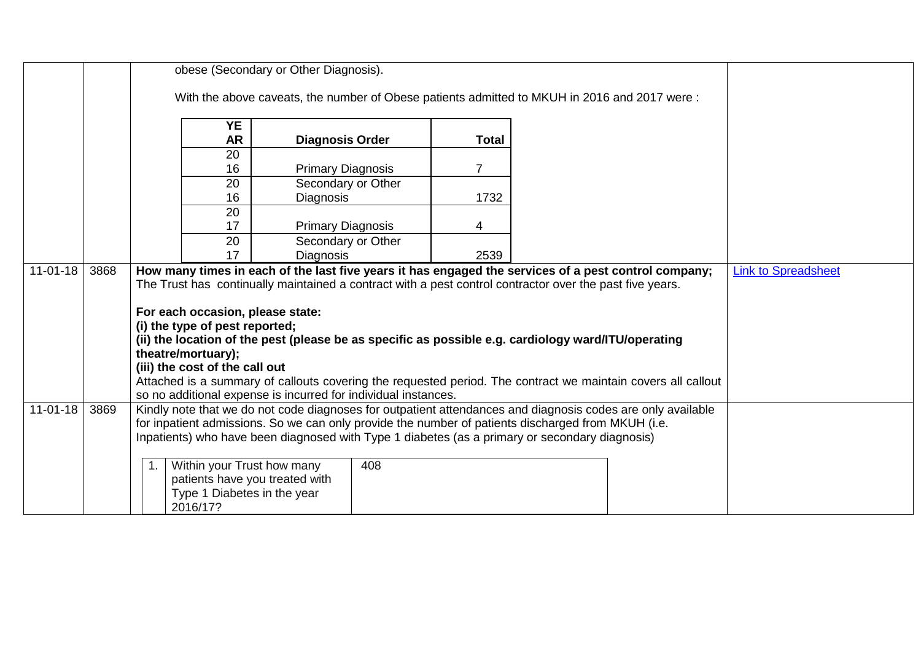|                |      | obese (Secondary or Other Diagnosis).                                                                        |                          |     |              |  |  |                            |  |
|----------------|------|--------------------------------------------------------------------------------------------------------------|--------------------------|-----|--------------|--|--|----------------------------|--|
|                |      | With the above caveats, the number of Obese patients admitted to MKUH in 2016 and 2017 were:                 |                          |     |              |  |  |                            |  |
|                |      |                                                                                                              |                          |     |              |  |  |                            |  |
|                |      | <b>YE</b>                                                                                                    |                          |     |              |  |  |                            |  |
|                |      | <b>AR</b>                                                                                                    | <b>Diagnosis Order</b>   |     | <b>Total</b> |  |  |                            |  |
|                |      | 20                                                                                                           |                          |     |              |  |  |                            |  |
|                |      | 16                                                                                                           | <b>Primary Diagnosis</b> |     | 7            |  |  |                            |  |
|                |      | 20                                                                                                           | Secondary or Other       |     |              |  |  |                            |  |
|                |      | 16                                                                                                           | Diagnosis                |     | 1732         |  |  |                            |  |
|                |      | 20                                                                                                           |                          |     |              |  |  |                            |  |
|                |      | 17                                                                                                           | <b>Primary Diagnosis</b> |     | 4            |  |  |                            |  |
|                |      | 20                                                                                                           | Secondary or Other       |     |              |  |  |                            |  |
|                |      | 17                                                                                                           | <b>Diagnosis</b>         |     | 2539         |  |  |                            |  |
| $11 - 01 - 18$ | 3868 | How many times in each of the last five years it has engaged the services of a pest control company;         |                          |     |              |  |  | <b>Link to Spreadsheet</b> |  |
|                |      | The Trust has continually maintained a contract with a pest control contractor over the past five years.     |                          |     |              |  |  |                            |  |
|                |      |                                                                                                              |                          |     |              |  |  |                            |  |
|                |      | For each occasion, please state:<br>(i) the type of pest reported;                                           |                          |     |              |  |  |                            |  |
|                |      | (ii) the location of the pest (please be as specific as possible e.g. cardiology ward/ITU/operating          |                          |     |              |  |  |                            |  |
|                |      | theatre/mortuary);                                                                                           |                          |     |              |  |  |                            |  |
|                |      | (iii) the cost of the call out                                                                               |                          |     |              |  |  |                            |  |
|                |      | Attached is a summary of callouts covering the requested period. The contract we maintain covers all callout |                          |     |              |  |  |                            |  |
|                |      | so no additional expense is incurred for individual instances.                                               |                          |     |              |  |  |                            |  |
| $11 - 01 - 18$ | 3869 | Kindly note that we do not code diagnoses for outpatient attendances and diagnosis codes are only available  |                          |     |              |  |  |                            |  |
|                |      | for inpatient admissions. So we can only provide the number of patients discharged from MKUH (i.e.           |                          |     |              |  |  |                            |  |
|                |      | Inpatients) who have been diagnosed with Type 1 diabetes (as a primary or secondary diagnosis)               |                          |     |              |  |  |                            |  |
|                |      |                                                                                                              |                          |     |              |  |  |                            |  |
|                |      | Within your Trust how many                                                                                   |                          | 408 |              |  |  |                            |  |
|                |      | patients have you treated with                                                                               |                          |     |              |  |  |                            |  |
|                |      | Type 1 Diabetes in the year                                                                                  |                          |     |              |  |  |                            |  |
|                |      | 2016/17?                                                                                                     |                          |     |              |  |  |                            |  |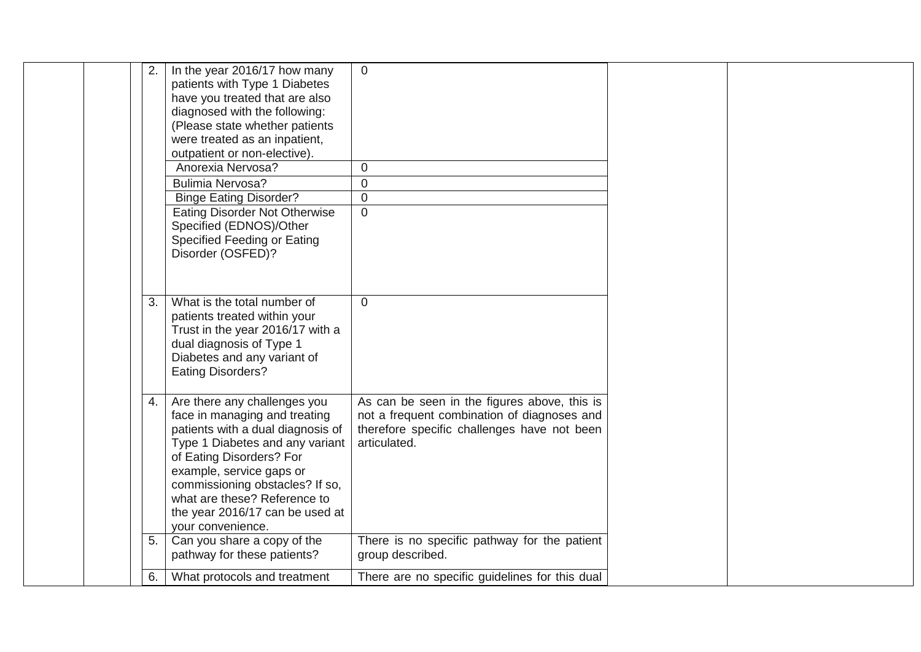|  | 2. | In the year 2016/17 how many         | $\overline{0}$                                 |  |
|--|----|--------------------------------------|------------------------------------------------|--|
|  |    | patients with Type 1 Diabetes        |                                                |  |
|  |    | have you treated that are also       |                                                |  |
|  |    | diagnosed with the following:        |                                                |  |
|  |    | (Please state whether patients       |                                                |  |
|  |    | were treated as an inpatient,        |                                                |  |
|  |    | outpatient or non-elective).         |                                                |  |
|  |    | Anorexia Nervosa?                    | $\boldsymbol{0}$                               |  |
|  |    | <b>Bulimia Nervosa?</b>              | $\mathbf 0$                                    |  |
|  |    | <b>Binge Eating Disorder?</b>        | $\mathbf 0$                                    |  |
|  |    | <b>Eating Disorder Not Otherwise</b> | $\overline{0}$                                 |  |
|  |    | Specified (EDNOS)/Other              |                                                |  |
|  |    | Specified Feeding or Eating          |                                                |  |
|  |    | Disorder (OSFED)?                    |                                                |  |
|  |    |                                      |                                                |  |
|  |    |                                      |                                                |  |
|  | 3. | What is the total number of          | $\overline{0}$                                 |  |
|  |    | patients treated within your         |                                                |  |
|  |    | Trust in the year 2016/17 with a     |                                                |  |
|  |    | dual diagnosis of Type 1             |                                                |  |
|  |    | Diabetes and any variant of          |                                                |  |
|  |    | <b>Eating Disorders?</b>             |                                                |  |
|  |    |                                      |                                                |  |
|  | 4. | Are there any challenges you         | As can be seen in the figures above, this is   |  |
|  |    | face in managing and treating        | not a frequent combination of diagnoses and    |  |
|  |    | patients with a dual diagnosis of    | therefore specific challenges have not been    |  |
|  |    | Type 1 Diabetes and any variant      | articulated.                                   |  |
|  |    | of Eating Disorders? For             |                                                |  |
|  |    | example, service gaps or             |                                                |  |
|  |    | commissioning obstacles? If so,      |                                                |  |
|  |    | what are these? Reference to         |                                                |  |
|  |    | the year 2016/17 can be used at      |                                                |  |
|  |    | your convenience.                    |                                                |  |
|  | 5. | Can you share a copy of the          | There is no specific pathway for the patient   |  |
|  |    | pathway for these patients?          | group described.                               |  |
|  | 6. | What protocols and treatment         | There are no specific guidelines for this dual |  |
|  |    |                                      |                                                |  |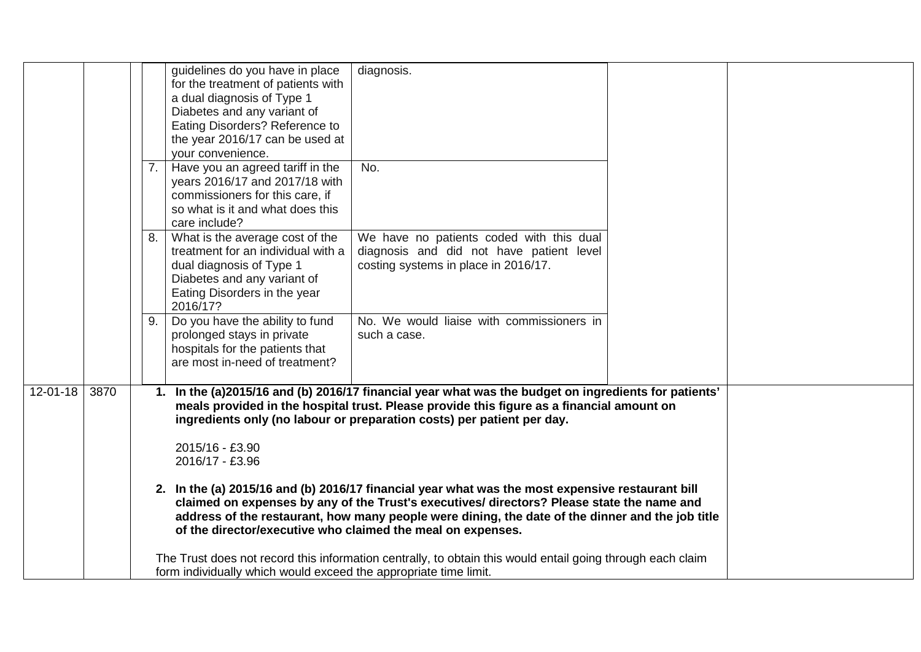|                |      |    | guidelines do you have in place<br>for the treatment of patients with<br>a dual diagnosis of Type 1<br>Diabetes and any variant of<br>Eating Disorders? Reference to<br>the year 2016/17 can be used at<br>your convenience. | diagnosis.                                                                                                                                                                                                                                                                  |  |
|----------------|------|----|------------------------------------------------------------------------------------------------------------------------------------------------------------------------------------------------------------------------------|-----------------------------------------------------------------------------------------------------------------------------------------------------------------------------------------------------------------------------------------------------------------------------|--|
|                |      | 7. | Have you an agreed tariff in the<br>years 2016/17 and 2017/18 with<br>commissioners for this care, if<br>so what is it and what does this<br>care include?                                                                   | No.                                                                                                                                                                                                                                                                         |  |
|                |      | 8. | What is the average cost of the<br>treatment for an individual with a<br>dual diagnosis of Type 1<br>Diabetes and any variant of<br>Eating Disorders in the year<br>2016/17?                                                 | We have no patients coded with this dual<br>diagnosis and did not have patient level<br>costing systems in place in 2016/17.                                                                                                                                                |  |
|                |      | 9. | Do you have the ability to fund<br>prolonged stays in private<br>hospitals for the patients that<br>are most in-need of treatment?                                                                                           | No. We would liaise with commissioners in<br>such a case.                                                                                                                                                                                                                   |  |
| $12 - 01 - 18$ | 3870 |    |                                                                                                                                                                                                                              | 1. In the (a)2015/16 and (b) 2016/17 financial year what was the budget on ingredients for patients'<br>meals provided in the hospital trust. Please provide this figure as a financial amount on<br>ingredients only (no labour or preparation costs) per patient per day. |  |
|                |      |    | 2015/16 - £3.90<br>2016/17 - £3.96                                                                                                                                                                                           | 2. In the (a) 2015/16 and (b) 2016/17 financial year what was the most expensive restaurant bill                                                                                                                                                                            |  |
|                |      |    | of the director/executive who claimed the meal on expenses.                                                                                                                                                                  | claimed on expenses by any of the Trust's executives/ directors? Please state the name and<br>address of the restaurant, how many people were dining, the date of the dinner and the job title                                                                              |  |
|                |      |    | form individually which would exceed the appropriate time limit.                                                                                                                                                             | The Trust does not record this information centrally, to obtain this would entail going through each claim                                                                                                                                                                  |  |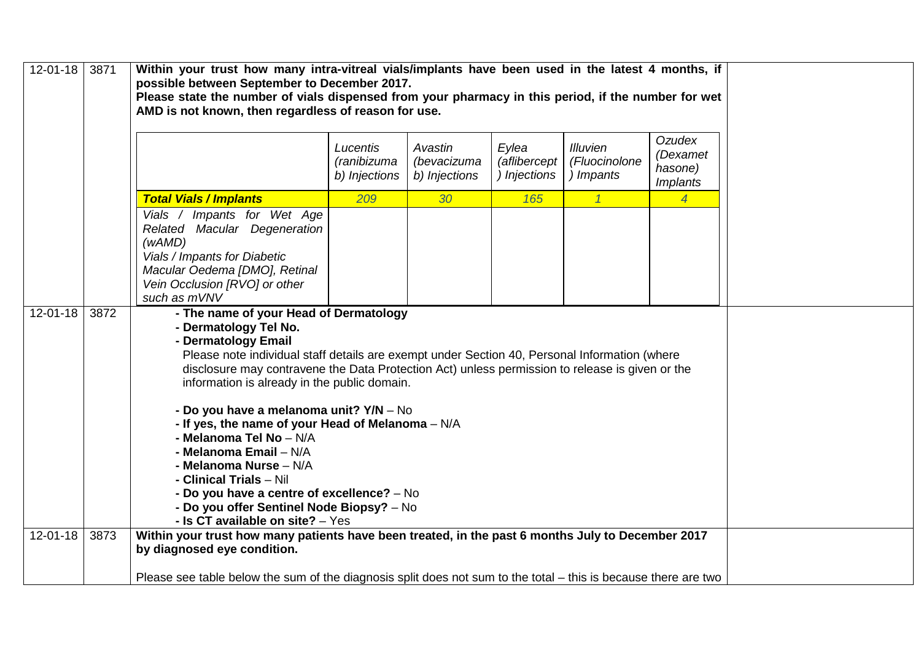| 12-01-18       | 3871 | Within your trust how many intra-vitreal vials/implants have been used in the latest 4 months, if<br>possible between September to December 2017.<br>Please state the number of vials dispensed from your pharmacy in this period, if the number for wet<br>AMD is not known, then regardless of reason for use.                                                                                                                                                                                                                                                                                                                                  |                                                                                                                 |                                         |                                       |                                               |                                                  |  |  |  |
|----------------|------|---------------------------------------------------------------------------------------------------------------------------------------------------------------------------------------------------------------------------------------------------------------------------------------------------------------------------------------------------------------------------------------------------------------------------------------------------------------------------------------------------------------------------------------------------------------------------------------------------------------------------------------------------|-----------------------------------------------------------------------------------------------------------------|-----------------------------------------|---------------------------------------|-----------------------------------------------|--------------------------------------------------|--|--|--|
|                |      |                                                                                                                                                                                                                                                                                                                                                                                                                                                                                                                                                                                                                                                   | Lucentis<br>(ranibizuma<br>b) Injections                                                                        | Avastin<br>(bevacizuma<br>b) Injections | Eylea<br>(aflibercept<br>) Injections | <b>Illuvien</b><br>(Fluocinolone<br>) Impants | Ozudex<br>(Dexamet<br>hasone)<br><i>Implants</i> |  |  |  |
|                |      | <b>Total Vials / Implants</b>                                                                                                                                                                                                                                                                                                                                                                                                                                                                                                                                                                                                                     | 209                                                                                                             | 30                                      | 165                                   | $\overline{1}$                                | $\overline{4}$                                   |  |  |  |
|                |      | Vials / Impants for Wet Age<br>Related Macular Degeneration<br>(wAMD)<br>Vials / Impants for Diabetic<br>Macular Oedema [DMO], Retinal<br>Vein Occlusion [RVO] or other<br>such as mVNV                                                                                                                                                                                                                                                                                                                                                                                                                                                           |                                                                                                                 |                                         |                                       |                                               |                                                  |  |  |  |
| $12 - 01 - 18$ | 3872 |                                                                                                                                                                                                                                                                                                                                                                                                                                                                                                                                                                                                                                                   |                                                                                                                 |                                         |                                       |                                               |                                                  |  |  |  |
|                |      | - The name of your Head of Dermatology<br>- Dermatology Tel No.<br>- Dermatology Email<br>Please note individual staff details are exempt under Section 40, Personal Information (where<br>disclosure may contravene the Data Protection Act) unless permission to release is given or the<br>information is already in the public domain.<br>- Do you have a melanoma unit? Y/N - No<br>- If yes, the name of your Head of Melanoma $- N/A$<br>- Melanoma Tel No - N/A<br>- Melanoma Email - N/A<br>- Melanoma Nurse - N/A<br>- Clinical Trials - Nil<br>- Do you have a centre of excellence? - No<br>- Do you offer Sentinel Node Biopsy? - No |                                                                                                                 |                                         |                                       |                                               |                                                  |  |  |  |
|                |      | - Is CT available on site? $-$ Yes                                                                                                                                                                                                                                                                                                                                                                                                                                                                                                                                                                                                                |                                                                                                                 |                                         |                                       |                                               |                                                  |  |  |  |
| $12 - 01 - 18$ | 3873 | Within your trust how many patients have been treated, in the past 6 months July to December 2017<br>by diagnosed eye condition.                                                                                                                                                                                                                                                                                                                                                                                                                                                                                                                  |                                                                                                                 |                                         |                                       |                                               |                                                  |  |  |  |
|                |      |                                                                                                                                                                                                                                                                                                                                                                                                                                                                                                                                                                                                                                                   | Please see table below the sum of the diagnosis split does not sum to the total – this is because there are two |                                         |                                       |                                               |                                                  |  |  |  |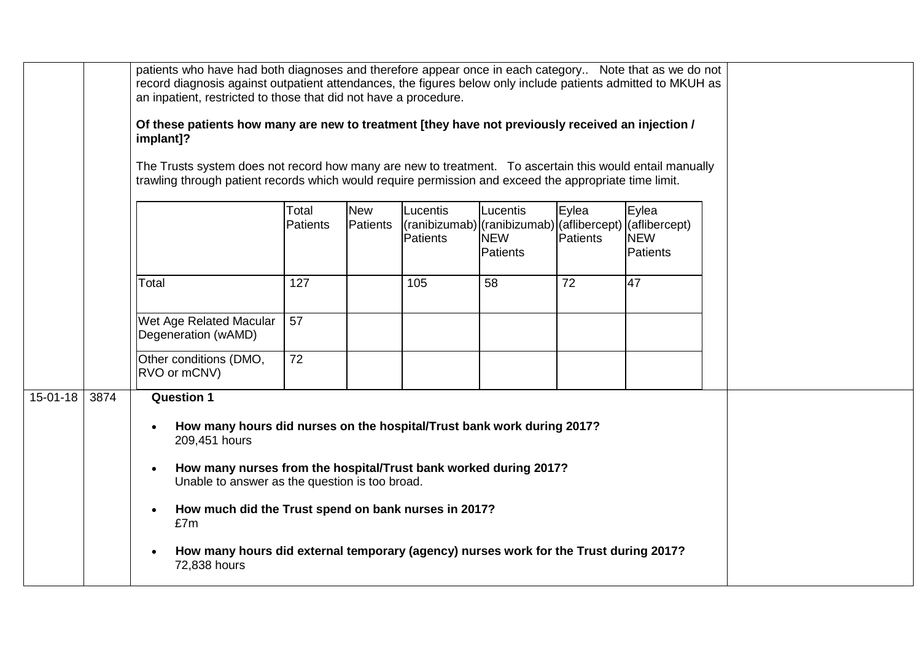|                |      | patients who have had both diagnoses and therefore appear once in each category Note that as we do not<br>record diagnosis against outpatient attendances, the figures below only include patients admitted to MKUH as<br>an inpatient, restricted to those that did not have a procedure.<br>Of these patients how many are new to treatment [they have not previously received an injection /<br>implant]?<br>The Trusts system does not record how many are new to treatment. To ascertain this would entail manually<br>trawling through patient records which would require permission and exceed the appropriate time limit. |                          |                        |                                                                                                         |                                    |                   |                                 |  |  |
|----------------|------|------------------------------------------------------------------------------------------------------------------------------------------------------------------------------------------------------------------------------------------------------------------------------------------------------------------------------------------------------------------------------------------------------------------------------------------------------------------------------------------------------------------------------------------------------------------------------------------------------------------------------------|--------------------------|------------------------|---------------------------------------------------------------------------------------------------------|------------------------------------|-------------------|---------------------------------|--|--|
|                |      |                                                                                                                                                                                                                                                                                                                                                                                                                                                                                                                                                                                                                                    | Total<br><b>Patients</b> | <b>New</b><br>Patients | Lucentis<br>$($ ranibizumab $)$ $($ ranibizumab $)$ $($ aflibercept $)$ $($ aflibercept $)$<br>Patients | Lucentis<br><b>NEW</b><br>Patients | Eylea<br>Patients | Eylea<br><b>NEW</b><br>Patients |  |  |
|                |      | Total                                                                                                                                                                                                                                                                                                                                                                                                                                                                                                                                                                                                                              | 127                      |                        | 105                                                                                                     | 58                                 | 72                | 47                              |  |  |
|                |      | Wet Age Related Macular<br>Degeneration (wAMD)                                                                                                                                                                                                                                                                                                                                                                                                                                                                                                                                                                                     | 57                       |                        |                                                                                                         |                                    |                   |                                 |  |  |
|                |      | Other conditions (DMO,<br>RVO or mCNV)                                                                                                                                                                                                                                                                                                                                                                                                                                                                                                                                                                                             | 72                       |                        |                                                                                                         |                                    |                   |                                 |  |  |
| $15 - 01 - 18$ | 3874 | <b>Question 1</b><br>How many hours did nurses on the hospital/Trust bank work during 2017?<br>$\bullet$<br>209,451 hours<br>How many nurses from the hospital/Trust bank worked during 2017?<br>$\bullet$<br>Unable to answer as the question is too broad.<br>How much did the Trust spend on bank nurses in 2017?<br>$\bullet$<br>£7m<br>How many hours did external temporary (agency) nurses work for the Trust during 2017?<br>72,838 hours                                                                                                                                                                                  |                          |                        |                                                                                                         |                                    |                   |                                 |  |  |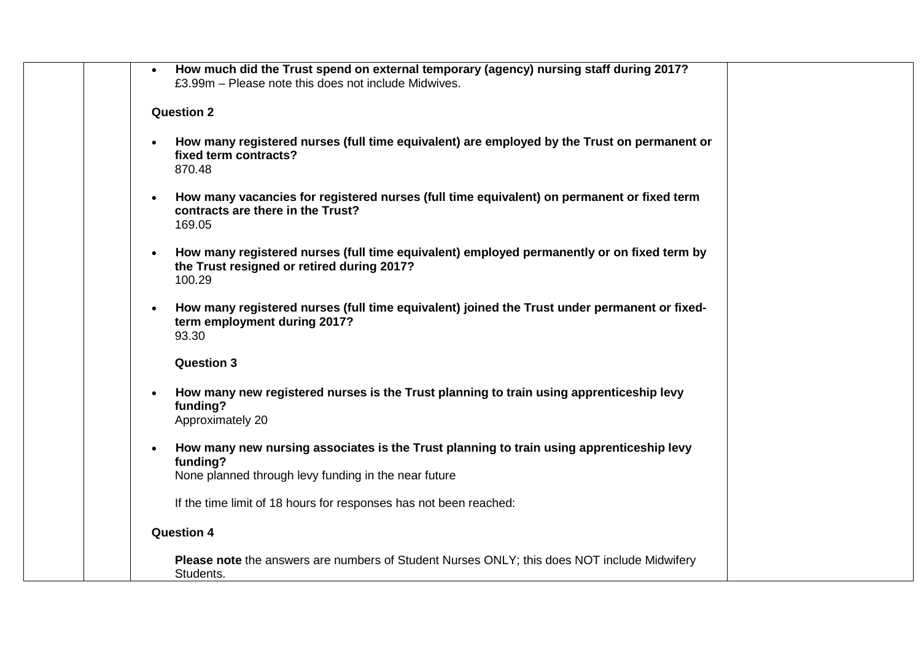| How much did the Trust spend on external temporary (agency) nursing staff during 2017?<br>£3.99m – Please note this does not include Midwives.                  |
|-----------------------------------------------------------------------------------------------------------------------------------------------------------------|
| <b>Question 2</b>                                                                                                                                               |
| How many registered nurses (full time equivalent) are employed by the Trust on permanent or<br>fixed term contracts?<br>870.48                                  |
| How many vacancies for registered nurses (full time equivalent) on permanent or fixed term<br>contracts are there in the Trust?<br>169.05                       |
| How many registered nurses (full time equivalent) employed permanently or on fixed term by<br>$\bullet$<br>the Trust resigned or retired during 2017?<br>100.29 |
| How many registered nurses (full time equivalent) joined the Trust under permanent or fixed-<br>term employment during 2017?<br>93.30                           |
| <b>Question 3</b>                                                                                                                                               |
| How many new registered nurses is the Trust planning to train using apprenticeship levy<br>$\bullet$<br>funding?<br>Approximately 20                            |
| How many new nursing associates is the Trust planning to train using apprenticeship levy<br>funding?<br>None planned through levy funding in the near future    |
| If the time limit of 18 hours for responses has not been reached:                                                                                               |
| <b>Question 4</b>                                                                                                                                               |
| <b>Please note</b> the answers are numbers of Student Nurses ONLY; this does NOT include Midwifery<br>Students.                                                 |
|                                                                                                                                                                 |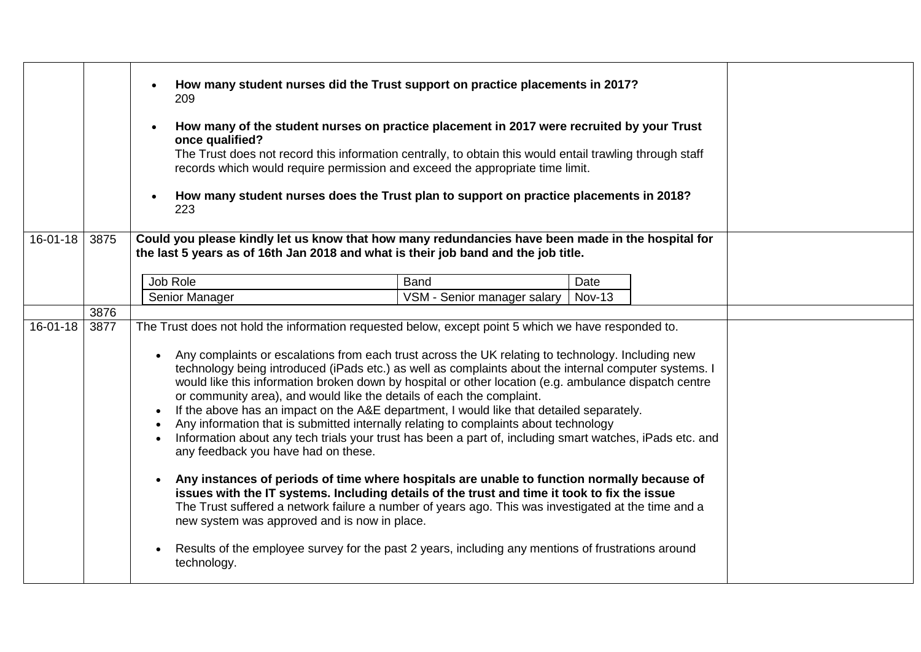|                |      | How many student nurses did the Trust support on practice placements in 2017?<br>209<br>How many of the student nurses on practice placement in 2017 were recruited by your Trust<br>once qualified?<br>The Trust does not record this information centrally, to obtain this would entail trawling through staff<br>records which would require permission and exceed the appropriate time limit.<br>How many student nurses does the Trust plan to support on practice placements in 2018?<br>223                                                                                                                                                                                                                                                                                                                                                                                                                                                                                                                                                                                                                                                                                                                                                                                                                                                                                     |                             |               |  |  |
|----------------|------|----------------------------------------------------------------------------------------------------------------------------------------------------------------------------------------------------------------------------------------------------------------------------------------------------------------------------------------------------------------------------------------------------------------------------------------------------------------------------------------------------------------------------------------------------------------------------------------------------------------------------------------------------------------------------------------------------------------------------------------------------------------------------------------------------------------------------------------------------------------------------------------------------------------------------------------------------------------------------------------------------------------------------------------------------------------------------------------------------------------------------------------------------------------------------------------------------------------------------------------------------------------------------------------------------------------------------------------------------------------------------------------|-----------------------------|---------------|--|--|
| $16 - 01 - 18$ | 3875 | Could you please kindly let us know that how many redundancies have been made in the hospital for<br>the last 5 years as of 16th Jan 2018 and what is their job band and the job title.                                                                                                                                                                                                                                                                                                                                                                                                                                                                                                                                                                                                                                                                                                                                                                                                                                                                                                                                                                                                                                                                                                                                                                                                |                             |               |  |  |
|                |      |                                                                                                                                                                                                                                                                                                                                                                                                                                                                                                                                                                                                                                                                                                                                                                                                                                                                                                                                                                                                                                                                                                                                                                                                                                                                                                                                                                                        |                             |               |  |  |
|                |      | Job Role                                                                                                                                                                                                                                                                                                                                                                                                                                                                                                                                                                                                                                                                                                                                                                                                                                                                                                                                                                                                                                                                                                                                                                                                                                                                                                                                                                               | <b>Band</b>                 | Date          |  |  |
|                |      | Senior Manager                                                                                                                                                                                                                                                                                                                                                                                                                                                                                                                                                                                                                                                                                                                                                                                                                                                                                                                                                                                                                                                                                                                                                                                                                                                                                                                                                                         | VSM - Senior manager salary | <b>Nov-13</b> |  |  |
|                | 3876 |                                                                                                                                                                                                                                                                                                                                                                                                                                                                                                                                                                                                                                                                                                                                                                                                                                                                                                                                                                                                                                                                                                                                                                                                                                                                                                                                                                                        |                             |               |  |  |
| $16 - 01 - 18$ | 3877 | The Trust does not hold the information requested below, except point 5 which we have responded to.<br>Any complaints or escalations from each trust across the UK relating to technology. Including new<br>technology being introduced (iPads etc.) as well as complaints about the internal computer systems. I<br>would like this information broken down by hospital or other location (e.g. ambulance dispatch centre<br>or community area), and would like the details of each the complaint.<br>If the above has an impact on the A&E department, I would like that detailed separately.<br>$\bullet$<br>Any information that is submitted internally relating to complaints about technology<br>$\bullet$<br>Information about any tech trials your trust has been a part of, including smart watches, iPads etc. and<br>$\bullet$<br>any feedback you have had on these.<br>Any instances of periods of time where hospitals are unable to function normally because of<br>$\bullet$<br>issues with the IT systems. Including details of the trust and time it took to fix the issue<br>The Trust suffered a network failure a number of years ago. This was investigated at the time and a<br>new system was approved and is now in place.<br>Results of the employee survey for the past 2 years, including any mentions of frustrations around<br>$\bullet$<br>technology. |                             |               |  |  |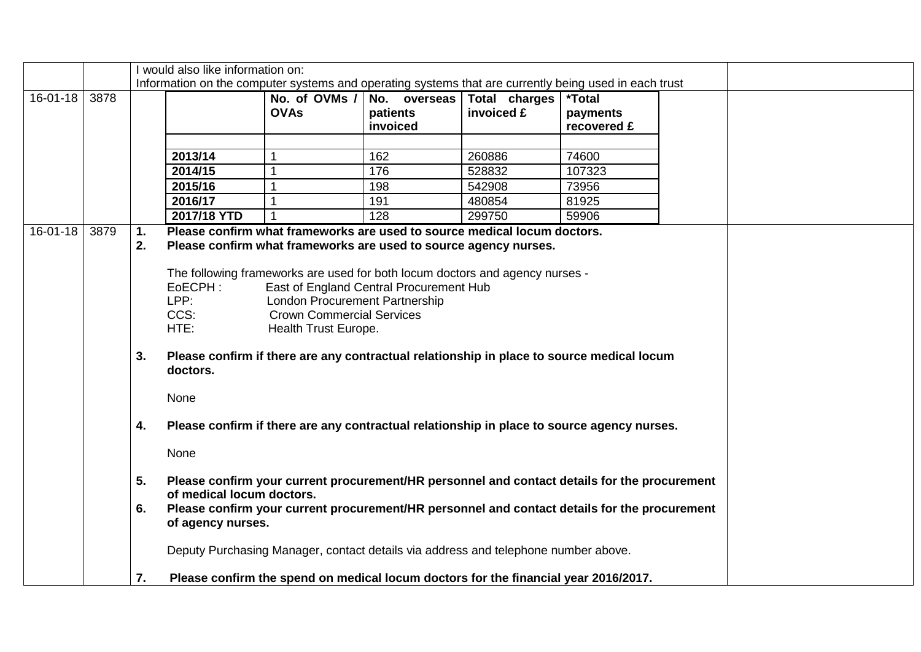|                |      |          | I would also like information on:                                                                                                            |                                         |              |                                                                                     |                      |  |
|----------------|------|----------|----------------------------------------------------------------------------------------------------------------------------------------------|-----------------------------------------|--------------|-------------------------------------------------------------------------------------|----------------------|--|
|                |      |          | Information on the computer systems and operating systems that are currently being used in each trust                                        |                                         |              |                                                                                     |                      |  |
| $16 - 01 - 18$ | 3878 |          |                                                                                                                                              | No. of OVMs /                           | No. overseas | Total charges                                                                       | <i><b>*Total</b></i> |  |
|                |      |          |                                                                                                                                              | <b>OVAs</b>                             | patients     | invoiced £                                                                          | payments             |  |
|                |      |          |                                                                                                                                              |                                         | invoiced     |                                                                                     | recovered £          |  |
|                |      |          |                                                                                                                                              |                                         |              |                                                                                     |                      |  |
|                |      |          | 2013/14                                                                                                                                      |                                         | 162          | 260886                                                                              | 74600                |  |
|                |      |          | 2014/15                                                                                                                                      |                                         | 176          | 528832                                                                              | 107323               |  |
|                |      |          | 2015/16                                                                                                                                      |                                         | 198          | 542908                                                                              | 73956                |  |
|                |      |          | 2016/17                                                                                                                                      |                                         | 191          | 480854                                                                              | 81925                |  |
|                |      |          | 2017/18 YTD                                                                                                                                  |                                         | 128          | 299750                                                                              | 59906                |  |
| 16-01-18       | 3879 | 1.<br>2. | Please confirm what frameworks are used to source medical locum doctors.<br>Please confirm what frameworks are used to source agency nurses. |                                         |              |                                                                                     |                      |  |
|                |      |          |                                                                                                                                              |                                         |              |                                                                                     |                      |  |
|                |      |          | The following frameworks are used for both locum doctors and agency nurses -                                                                 |                                         |              |                                                                                     |                      |  |
|                |      |          | EoECPH:                                                                                                                                      | East of England Central Procurement Hub |              |                                                                                     |                      |  |
|                |      |          | LPP:                                                                                                                                         | <b>London Procurement Partnership</b>   |              |                                                                                     |                      |  |
|                |      |          | CCS:                                                                                                                                         | <b>Crown Commercial Services</b>        |              |                                                                                     |                      |  |
|                |      |          | HTE:                                                                                                                                         | Health Trust Europe.                    |              |                                                                                     |                      |  |
|                |      | 3.       | Please confirm if there are any contractual relationship in place to source medical locum<br>doctors.                                        |                                         |              |                                                                                     |                      |  |
|                |      |          | None                                                                                                                                         |                                         |              |                                                                                     |                      |  |
|                |      | 4.       | Please confirm if there are any contractual relationship in place to source agency nurses.                                                   |                                         |              |                                                                                     |                      |  |
|                |      |          | None                                                                                                                                         |                                         |              |                                                                                     |                      |  |
|                |      | 5.       | Please confirm your current procurement/HR personnel and contact details for the procurement<br>of medical locum doctors.                    |                                         |              |                                                                                     |                      |  |
|                |      | 6.       | Please confirm your current procurement/HR personnel and contact details for the procurement                                                 |                                         |              |                                                                                     |                      |  |
|                |      |          | of agency nurses.                                                                                                                            |                                         |              |                                                                                     |                      |  |
|                |      |          | Deputy Purchasing Manager, contact details via address and telephone number above.                                                           |                                         |              |                                                                                     |                      |  |
|                |      | 7.       |                                                                                                                                              |                                         |              | Please confirm the spend on medical locum doctors for the financial year 2016/2017. |                      |  |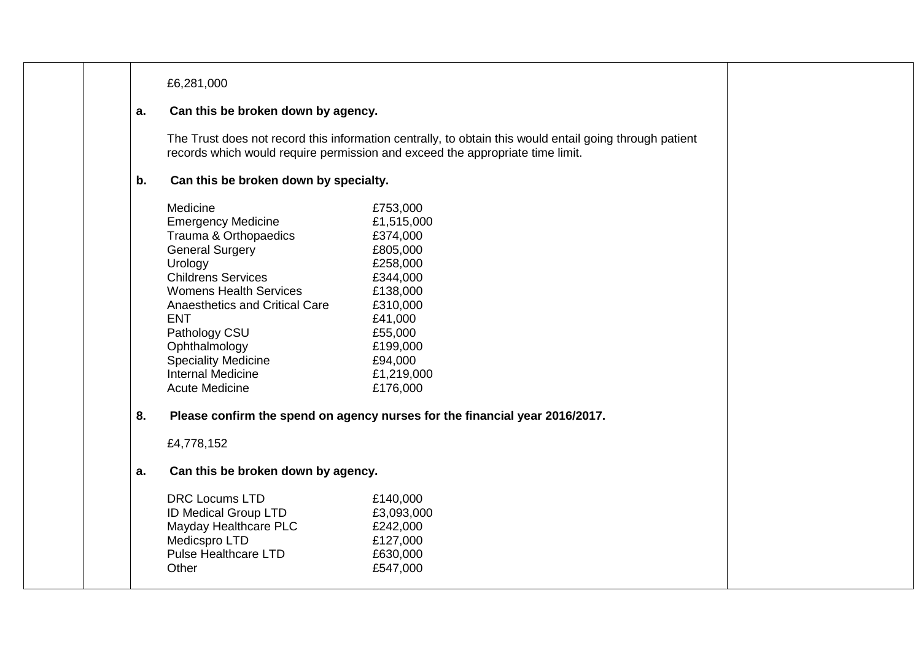### £6,281,000

### **a. Can this be broken down by agency.**

The Trust does not record this information centrally, to obtain this would entail going through patient records which would require permission and exceed the appropriate time limit.

## **b. Can this be broken down by specialty.**

| Medicine                       | £753,000   |
|--------------------------------|------------|
| <b>Emergency Medicine</b>      | £1,515,000 |
| Trauma & Orthopaedics          | £374,000   |
| <b>General Surgery</b>         | £805,000   |
| Urology                        | £258,000   |
| <b>Childrens Services</b>      | £344,000   |
| <b>Womens Health Services</b>  | £138,000   |
| Anaesthetics and Critical Care | £310,000   |
| <b>ENT</b>                     | £41,000    |
| Pathology CSU                  | £55,000    |
| Ophthalmology                  | £199,000   |
| <b>Speciality Medicine</b>     | £94,000    |
| Internal Medicine              | £1,219,000 |
| Acute Medicine                 | £176,000   |
|                                |            |

## **8. Please confirm the spend on agency nurses for the financial year 2016/2017.**

£4,778,152

## **a. Can this be broken down by agency.**

| <b>DRC Locums LTD</b>       | £140,000   |
|-----------------------------|------------|
| <b>ID Medical Group LTD</b> | £3,093,000 |
| Mayday Healthcare PLC       | £242,000   |
| Medicspro LTD               | £127,000   |
| <b>Pulse Healthcare LTD</b> | £630,000   |
| Other                       | £547,000   |
|                             |            |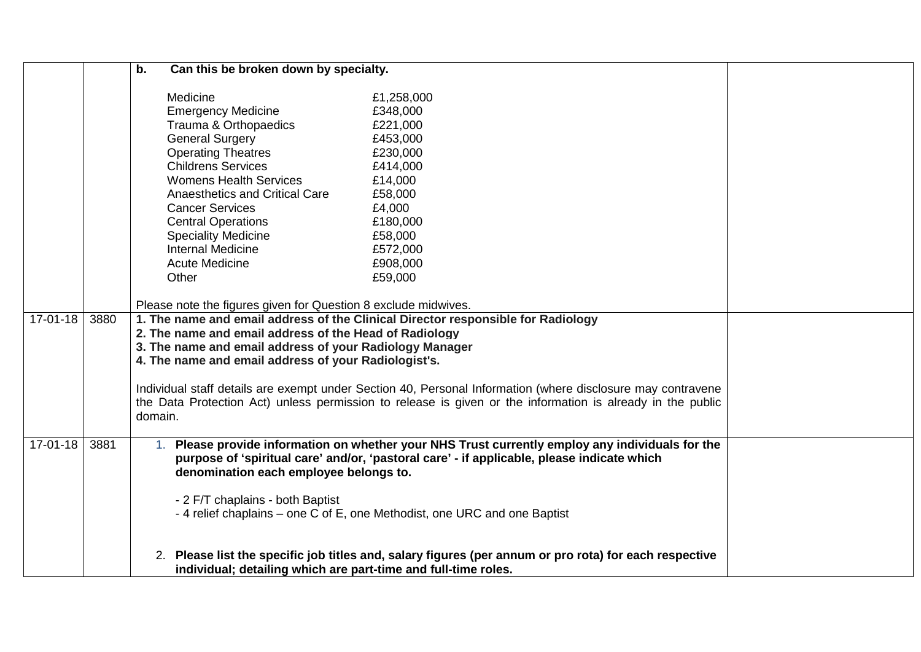|            |      | Can this be broken down by specialty.<br>b.                                                                                                                                                                                                                                                                                                                              |                                                                                                                                                                                                                                                                          |  |
|------------|------|--------------------------------------------------------------------------------------------------------------------------------------------------------------------------------------------------------------------------------------------------------------------------------------------------------------------------------------------------------------------------|--------------------------------------------------------------------------------------------------------------------------------------------------------------------------------------------------------------------------------------------------------------------------|--|
|            |      | Medicine<br><b>Emergency Medicine</b><br>Trauma & Orthopaedics<br><b>General Surgery</b><br><b>Operating Theatres</b><br><b>Childrens Services</b><br><b>Womens Health Services</b><br>Anaesthetics and Critical Care<br><b>Cancer Services</b><br><b>Central Operations</b><br><b>Speciality Medicine</b><br><b>Internal Medicine</b><br><b>Acute Medicine</b><br>Other | £1,258,000<br>£348,000<br>£221,000<br>£453,000<br>£230,000<br>£414,000<br>£14,000<br>£58,000<br>£4,000<br>£180,000<br>£58,000<br>£572,000<br>£908,000<br>£59,000                                                                                                         |  |
| $17-01-18$ | 3880 | Please note the figures given for Question 8 exclude midwives.                                                                                                                                                                                                                                                                                                           | 1. The name and email address of the Clinical Director responsible for Radiology                                                                                                                                                                                         |  |
|            |      | 2. The name and email address of the Head of Radiology<br>3. The name and email address of your Radiology Manager<br>4. The name and email address of your Radiologist's.<br>domain.                                                                                                                                                                                     | Individual staff details are exempt under Section 40, Personal Information (where disclosure may contravene<br>the Data Protection Act) unless permission to release is given or the information is already in the public                                                |  |
| $17-01-18$ | 3881 | denomination each employee belongs to.<br>- 2 F/T chaplains - both Baptist                                                                                                                                                                                                                                                                                               | Please provide information on whether your NHS Trust currently employ any individuals for the<br>purpose of 'spiritual care' and/or, 'pastoral care' - if applicable, please indicate which<br>- 4 relief chaplains – one C of E, one Methodist, one URC and one Baptist |  |
|            |      | individual; detailing which are part-time and full-time roles.                                                                                                                                                                                                                                                                                                           | 2. Please list the specific job titles and, salary figures (per annum or pro rota) for each respective                                                                                                                                                                   |  |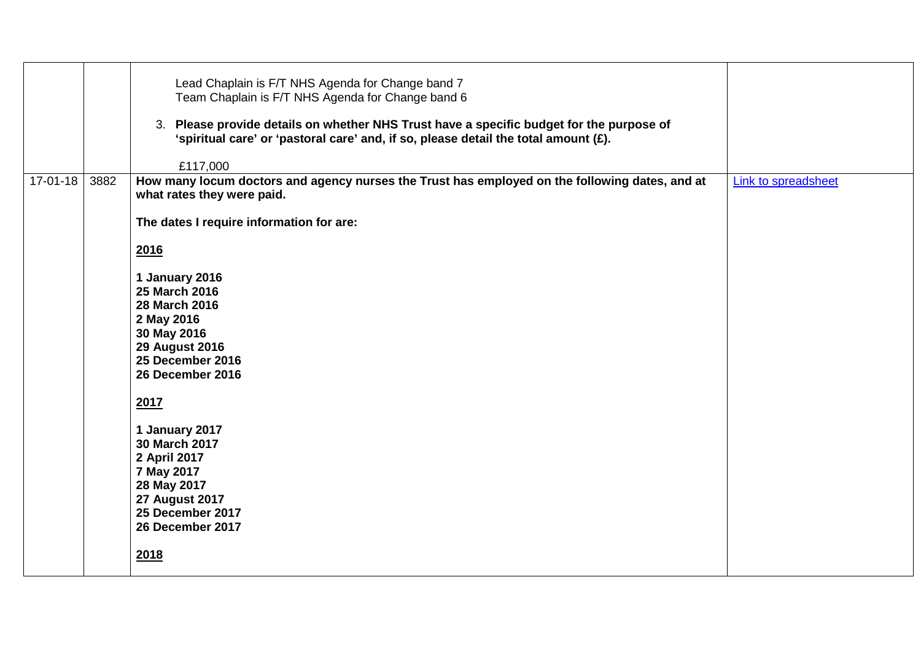|                |      | Lead Chaplain is F/T NHS Agenda for Change band 7<br>Team Chaplain is F/T NHS Agenda for Change band 6<br>3. Please provide details on whether NHS Trust have a specific budget for the purpose of<br>'spiritual care' or 'pastoral care' and, if so, please detail the total amount (£). |                     |
|----------------|------|-------------------------------------------------------------------------------------------------------------------------------------------------------------------------------------------------------------------------------------------------------------------------------------------|---------------------|
|                |      | £117,000                                                                                                                                                                                                                                                                                  |                     |
| $17 - 01 - 18$ | 3882 | How many locum doctors and agency nurses the Trust has employed on the following dates, and at<br>what rates they were paid.                                                                                                                                                              | Link to spreadsheet |
|                |      | The dates I require information for are:                                                                                                                                                                                                                                                  |                     |
|                |      | 2016                                                                                                                                                                                                                                                                                      |                     |
|                |      | 1 January 2016<br>25 March 2016<br>28 March 2016<br>2 May 2016<br>30 May 2016<br><b>29 August 2016</b><br>25 December 2016<br>26 December 2016                                                                                                                                            |                     |
|                |      | 2017                                                                                                                                                                                                                                                                                      |                     |
|                |      | 1 January 2017<br>30 March 2017<br>2 April 2017<br>7 May 2017<br>28 May 2017<br><b>27 August 2017</b><br>25 December 2017<br>26 December 2017                                                                                                                                             |                     |
|                |      | 2018                                                                                                                                                                                                                                                                                      |                     |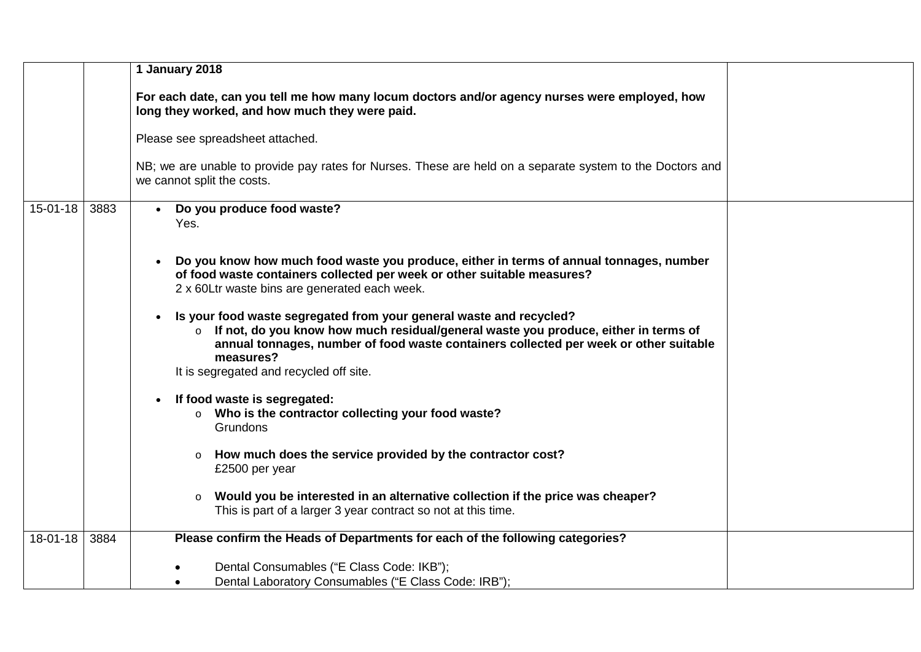|                |      | 1 January 2018                                                                                                                                                                                                                                                                                                                      |
|----------------|------|-------------------------------------------------------------------------------------------------------------------------------------------------------------------------------------------------------------------------------------------------------------------------------------------------------------------------------------|
|                |      | For each date, can you tell me how many locum doctors and/or agency nurses were employed, how<br>long they worked, and how much they were paid.                                                                                                                                                                                     |
|                |      | Please see spreadsheet attached.                                                                                                                                                                                                                                                                                                    |
|                |      | NB; we are unable to provide pay rates for Nurses. These are held on a separate system to the Doctors and<br>we cannot split the costs.                                                                                                                                                                                             |
| $15-01-18$     | 3883 | Do you produce food waste?<br>Yes.                                                                                                                                                                                                                                                                                                  |
|                |      | Do you know how much food waste you produce, either in terms of annual tonnages, number<br>of food waste containers collected per week or other suitable measures?<br>2 x 60Ltr waste bins are generated each week.                                                                                                                 |
|                |      | Is your food waste segregated from your general waste and recycled?<br>$\bullet$<br>If not, do you know how much residual/general waste you produce, either in terms of<br>$\circ$<br>annual tonnages, number of food waste containers collected per week or other suitable<br>measures?<br>It is segregated and recycled off site. |
|                |      | If food waste is segregated:<br>o Who is the contractor collecting your food waste?<br>Grundons                                                                                                                                                                                                                                     |
|                |      | How much does the service provided by the contractor cost?<br>$\circ$<br>£2500 per year                                                                                                                                                                                                                                             |
|                |      | Would you be interested in an alternative collection if the price was cheaper?<br>$\circ$<br>This is part of a larger 3 year contract so not at this time.                                                                                                                                                                          |
| $18 - 01 - 18$ | 3884 | Please confirm the Heads of Departments for each of the following categories?                                                                                                                                                                                                                                                       |
|                |      | Dental Consumables ("E Class Code: IKB");<br>Dental Laboratory Consumables ("E Class Code: IRB");                                                                                                                                                                                                                                   |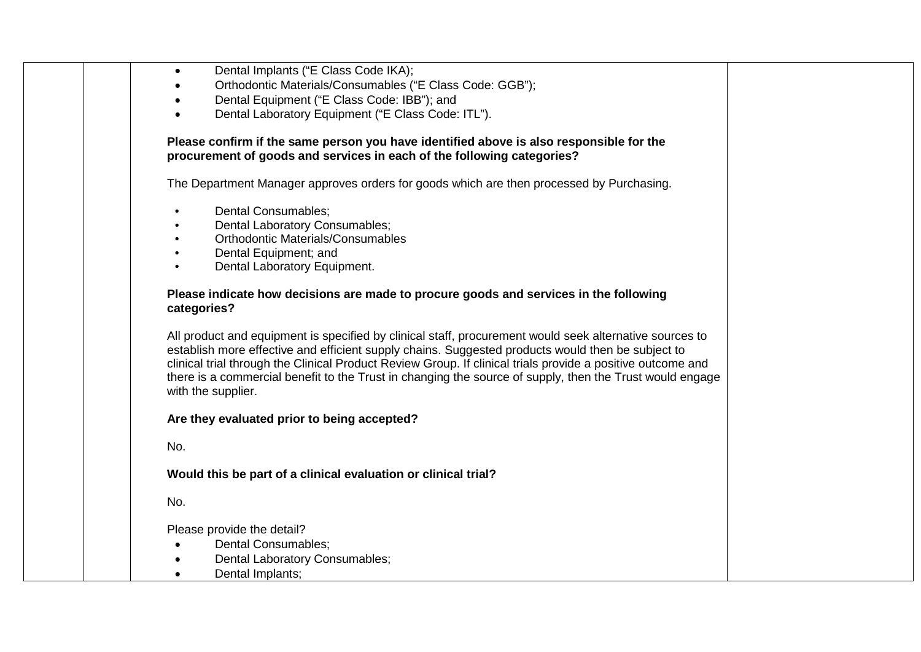| Dental Implants ("E Class Code IKA);<br>$\bullet$                                                                                                                                                                                                                                                                                                                                                                                                             |
|---------------------------------------------------------------------------------------------------------------------------------------------------------------------------------------------------------------------------------------------------------------------------------------------------------------------------------------------------------------------------------------------------------------------------------------------------------------|
| Orthodontic Materials/Consumables ("E Class Code: GGB");                                                                                                                                                                                                                                                                                                                                                                                                      |
| Dental Equipment ("E Class Code: IBB"); and                                                                                                                                                                                                                                                                                                                                                                                                                   |
| Dental Laboratory Equipment ("E Class Code: ITL").                                                                                                                                                                                                                                                                                                                                                                                                            |
| Please confirm if the same person you have identified above is also responsible for the                                                                                                                                                                                                                                                                                                                                                                       |
| procurement of goods and services in each of the following categories?                                                                                                                                                                                                                                                                                                                                                                                        |
| The Department Manager approves orders for goods which are then processed by Purchasing.                                                                                                                                                                                                                                                                                                                                                                      |
| Dental Consumables;                                                                                                                                                                                                                                                                                                                                                                                                                                           |
| Dental Laboratory Consumables;                                                                                                                                                                                                                                                                                                                                                                                                                                |
| <b>Orthodontic Materials/Consumables</b>                                                                                                                                                                                                                                                                                                                                                                                                                      |
| Dental Equipment; and                                                                                                                                                                                                                                                                                                                                                                                                                                         |
| Dental Laboratory Equipment.                                                                                                                                                                                                                                                                                                                                                                                                                                  |
| Please indicate how decisions are made to procure goods and services in the following<br>categories?                                                                                                                                                                                                                                                                                                                                                          |
| All product and equipment is specified by clinical staff, procurement would seek alternative sources to<br>establish more effective and efficient supply chains. Suggested products would then be subject to<br>clinical trial through the Clinical Product Review Group. If clinical trials provide a positive outcome and<br>there is a commercial benefit to the Trust in changing the source of supply, then the Trust would engage<br>with the supplier. |
| Are they evaluated prior to being accepted?                                                                                                                                                                                                                                                                                                                                                                                                                   |
| No.                                                                                                                                                                                                                                                                                                                                                                                                                                                           |
| Would this be part of a clinical evaluation or clinical trial?                                                                                                                                                                                                                                                                                                                                                                                                |
| No.                                                                                                                                                                                                                                                                                                                                                                                                                                                           |
| Please provide the detail?                                                                                                                                                                                                                                                                                                                                                                                                                                    |
| Dental Consumables;                                                                                                                                                                                                                                                                                                                                                                                                                                           |
| Dental Laboratory Consumables;                                                                                                                                                                                                                                                                                                                                                                                                                                |
| Dental Implants;                                                                                                                                                                                                                                                                                                                                                                                                                                              |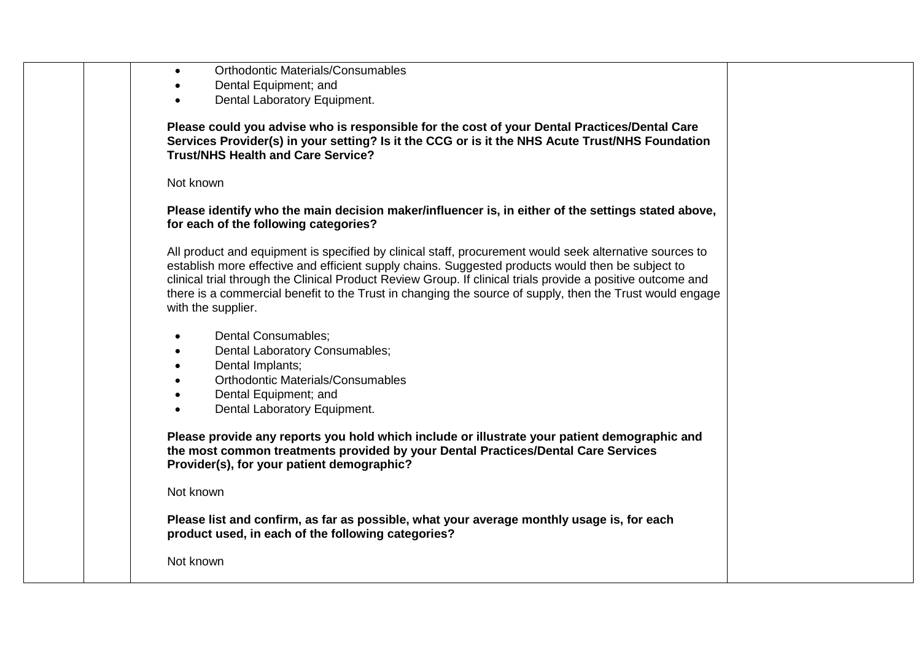| <b>Orthodontic Materials/Consumables</b> |
|------------------------------------------|
|                                          |

- Dental Equipment; and
- Dental Laboratory Equipment.

**Please could you advise who is responsible for the cost of your Dental Practices/Dental Care Services Provider(s) in your setting? Is it the CCG or is it the NHS Acute Trust/NHS Foundation Trust/NHS Health and Care Service?**

Not known

#### **Please identify who the main decision maker/influencer is, in either of the settings stated above, for each of the following categories?**

All product and equipment is specified by clinical staff, procurement would seek alternative sources to establish more effective and efficient supply chains. Suggested products would then be subject to clinical trial through the Clinical Product Review Group. If clinical trials provide a positive outcome and there is a commercial benefit to the Trust in changing the source of supply, then the Trust would engage with the supplier.

- Dental Consumables;
- Dental Laboratory Consumables;
- Dental Implants;
- Orthodontic Materials/Consumables
- Dental Equipment: and
- Dental Laboratory Equipment.

**Please provide any reports you hold which include or illustrate your patient demographic and the most common treatments provided by your Dental Practices/Dental Care Services Provider(s), for your patient demographic?**

#### Not known

**Please list and confirm, as far as possible, what your average monthly usage is, for each product used, in each of the following categories?** 

Not known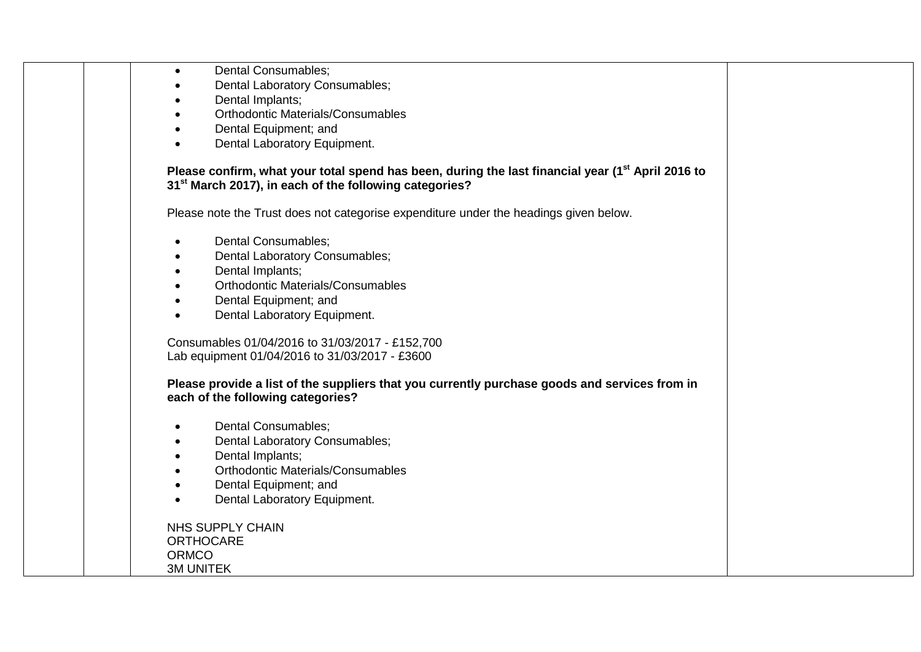| Dental Consumables; |
|---------------------|
|                     |

- Dental Laboratory Consumables;
- Dental Implants;
- Orthodontic Materials/Consumables
- Dental Equipment; and
- Dental Laboratory Equipment.

### **Please confirm, what your total spend has been, during the last financial year (1st April 2016 to 31st March 2017), in each of the following categories?**

Please note the Trust does not categorise expenditure under the headings given below.

- Dental Consumables;
- Dental Laboratory Consumables;
- Dental Implants;
- Orthodontic Materials/Consumables
- Dental Equipment; and
- Dental Laboratory Equipment.

Consumables 01/04/2016 to 31/03/2017 - £152,700 Lab equipment 01/04/2016 to 31/03/2017 - £3600

#### **Please provide a list of the suppliers that you currently purchase goods and services from in each of the following categories?**

- Dental Consumables;
- Dental Laboratory Consumables;
- Dental Implants;
- Orthodontic Materials/Consumables
- Dental Equipment; and
- Dental Laboratory Equipment.

NHS SUPPLY CHAIN **ORTHOCARE** ORMCO<sub>.</sub> 3M UNITEK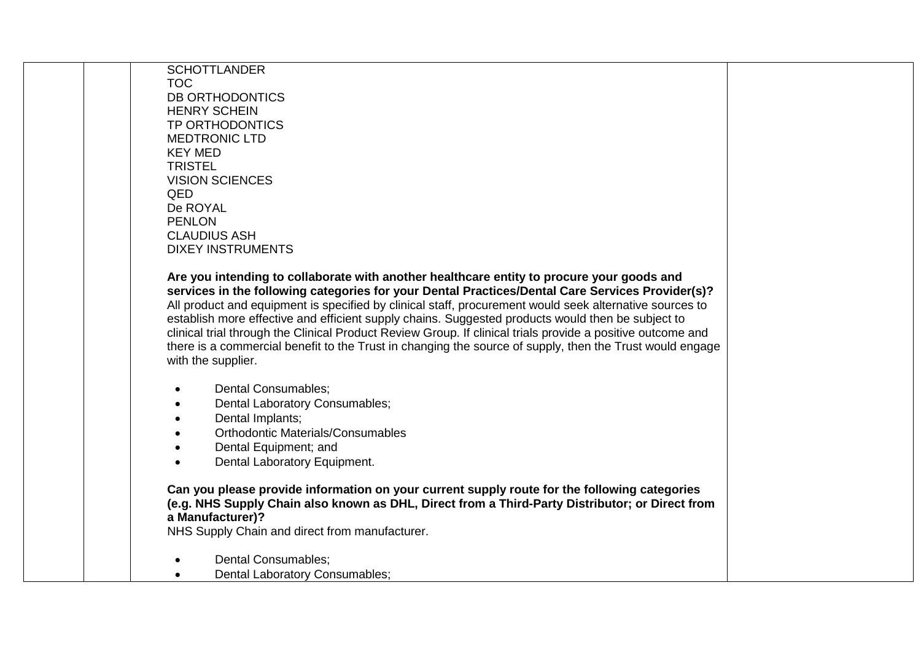| <b>SCHOTTLANDER</b>                                                                                         |  |
|-------------------------------------------------------------------------------------------------------------|--|
| <b>TOC</b>                                                                                                  |  |
| DB ORTHODONTICS                                                                                             |  |
| <b>HENRY SCHEIN</b>                                                                                         |  |
| <b>TP ORTHODONTICS</b>                                                                                      |  |
| <b>MEDTRONIC LTD</b>                                                                                        |  |
| <b>KEY MED</b>                                                                                              |  |
| <b>TRISTEL</b>                                                                                              |  |
| <b>VISION SCIENCES</b>                                                                                      |  |
| QED                                                                                                         |  |
| De ROYAL                                                                                                    |  |
| <b>PENLON</b>                                                                                               |  |
| <b>CLAUDIUS ASH</b>                                                                                         |  |
| <b>DIXEY INSTRUMENTS</b>                                                                                    |  |
|                                                                                                             |  |
| Are you intending to collaborate with another healthcare entity to procure your goods and                   |  |
| services in the following categories for your Dental Practices/Dental Care Services Provider(s)?            |  |
| All product and equipment is specified by clinical staff, procurement would seek alternative sources to     |  |
| establish more effective and efficient supply chains. Suggested products would then be subject to           |  |
| clinical trial through the Clinical Product Review Group. If clinical trials provide a positive outcome and |  |
| there is a commercial benefit to the Trust in changing the source of supply, then the Trust would engage    |  |
| with the supplier.                                                                                          |  |
|                                                                                                             |  |
| <b>Dental Consumables;</b>                                                                                  |  |
| Dental Laboratory Consumables;                                                                              |  |
| Dental Implants;                                                                                            |  |
| <b>Orthodontic Materials/Consumables</b>                                                                    |  |
| Dental Equipment; and                                                                                       |  |
| Dental Laboratory Equipment.                                                                                |  |
|                                                                                                             |  |
| Can you please provide information on your current supply route for the following categories                |  |
| (e.g. NHS Supply Chain also known as DHL, Direct from a Third-Party Distributor; or Direct from             |  |
| a Manufacturer)?                                                                                            |  |
| NHS Supply Chain and direct from manufacturer.                                                              |  |
|                                                                                                             |  |
| Dental Consumables;                                                                                         |  |
| Dental Laboratory Consumables;                                                                              |  |
|                                                                                                             |  |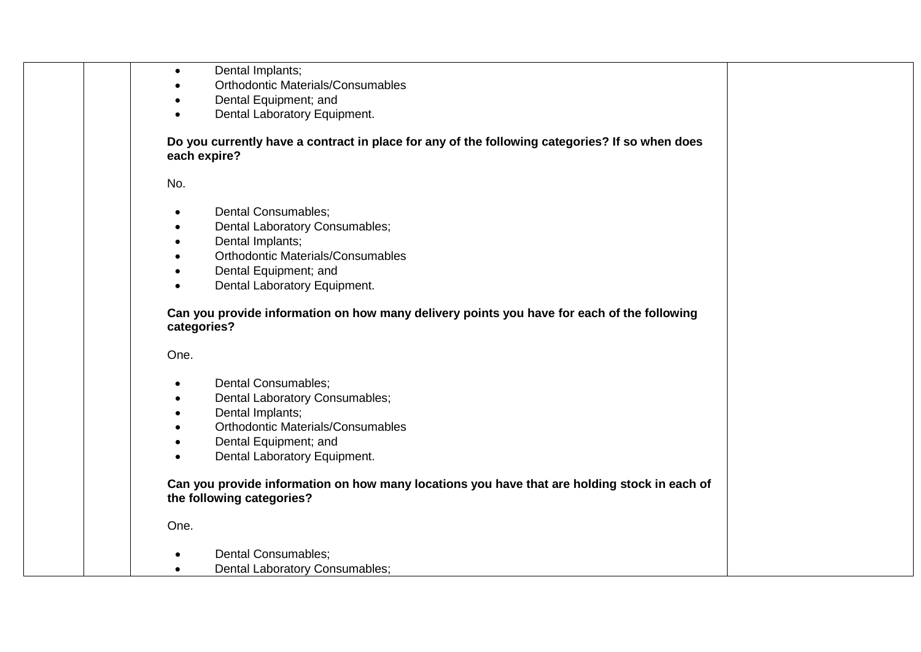| Dental Implants;<br>$\bullet$                                                                                             |
|---------------------------------------------------------------------------------------------------------------------------|
| <b>Orthodontic Materials/Consumables</b>                                                                                  |
| Dental Equipment; and                                                                                                     |
| Dental Laboratory Equipment.                                                                                              |
| Do you currently have a contract in place for any of the following categories? If so when does<br>each expire?            |
| No.                                                                                                                       |
| Dental Consumables;<br>$\bullet$                                                                                          |
| Dental Laboratory Consumables;<br>$\bullet$                                                                               |
| Dental Implants;<br>$\bullet$                                                                                             |
| <b>Orthodontic Materials/Consumables</b>                                                                                  |
| Dental Equipment; and                                                                                                     |
| Dental Laboratory Equipment.                                                                                              |
| Can you provide information on how many delivery points you have for each of the following<br>categories?                 |
| One.                                                                                                                      |
| Dental Consumables;<br>$\bullet$                                                                                          |
| Dental Laboratory Consumables;                                                                                            |
| Dental Implants;                                                                                                          |
| <b>Orthodontic Materials/Consumables</b>                                                                                  |
| Dental Equipment; and                                                                                                     |
| Dental Laboratory Equipment.                                                                                              |
| Can you provide information on how many locations you have that are holding stock in each of<br>the following categories? |
| One.                                                                                                                      |
| <b>Dental Consumables;</b>                                                                                                |
| Dental Laboratory Consumables;                                                                                            |
|                                                                                                                           |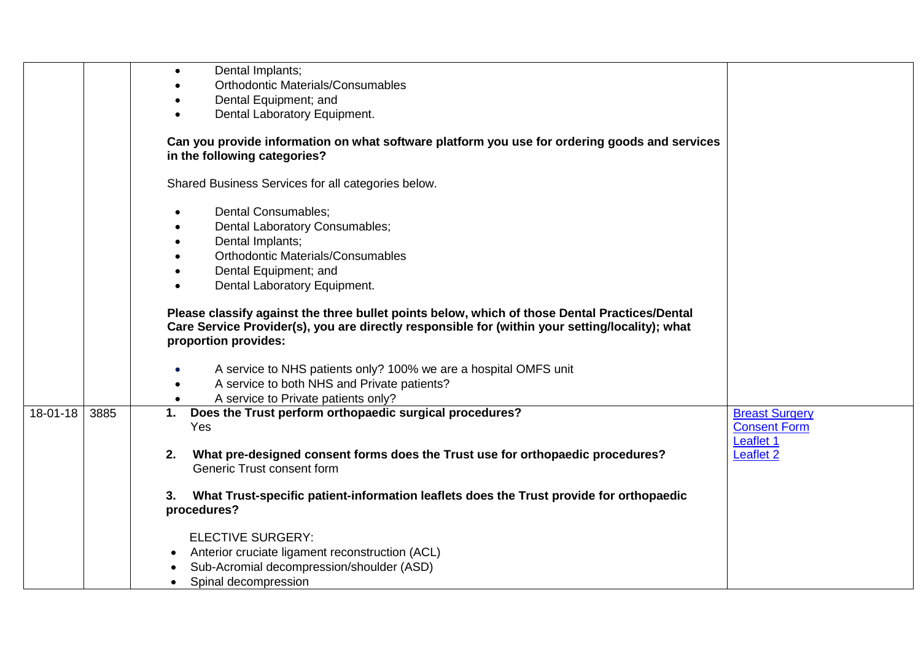|          |      | Dental Implants;<br>$\bullet$                                                                                                                                                                                            |                       |
|----------|------|--------------------------------------------------------------------------------------------------------------------------------------------------------------------------------------------------------------------------|-----------------------|
|          |      | <b>Orthodontic Materials/Consumables</b>                                                                                                                                                                                 |                       |
|          |      | Dental Equipment; and                                                                                                                                                                                                    |                       |
|          |      | Dental Laboratory Equipment.                                                                                                                                                                                             |                       |
|          |      | Can you provide information on what software platform you use for ordering goods and services<br>in the following categories?                                                                                            |                       |
|          |      | Shared Business Services for all categories below.                                                                                                                                                                       |                       |
|          |      | Dental Consumables;                                                                                                                                                                                                      |                       |
|          |      | Dental Laboratory Consumables;                                                                                                                                                                                           |                       |
|          |      | Dental Implants;                                                                                                                                                                                                         |                       |
|          |      | <b>Orthodontic Materials/Consumables</b>                                                                                                                                                                                 |                       |
|          |      | Dental Equipment; and                                                                                                                                                                                                    |                       |
|          |      | Dental Laboratory Equipment.                                                                                                                                                                                             |                       |
|          |      | Please classify against the three bullet points below, which of those Dental Practices/Dental<br>Care Service Provider(s), you are directly responsible for (within your setting/locality); what<br>proportion provides: |                       |
|          |      | A service to NHS patients only? 100% we are a hospital OMFS unit                                                                                                                                                         |                       |
|          |      | A service to both NHS and Private patients?                                                                                                                                                                              |                       |
|          |      | A service to Private patients only?                                                                                                                                                                                      |                       |
| 18-01-18 | 3885 | Does the Trust perform orthopaedic surgical procedures?<br>1.                                                                                                                                                            | <b>Breast Surgery</b> |
|          |      | Yes                                                                                                                                                                                                                      | <b>Consent Form</b>   |
|          |      |                                                                                                                                                                                                                          | Leaflet 1             |
|          |      | What pre-designed consent forms does the Trust use for orthopaedic procedures?<br>2.<br>Generic Trust consent form                                                                                                       | Leaflet <sub>2</sub>  |
|          |      | What Trust-specific patient-information leaflets does the Trust provide for orthopaedic<br>3.                                                                                                                            |                       |
|          |      | procedures?                                                                                                                                                                                                              |                       |
|          |      | <b>ELECTIVE SURGERY:</b>                                                                                                                                                                                                 |                       |
|          |      | Anterior cruciate ligament reconstruction (ACL)                                                                                                                                                                          |                       |
|          |      | Sub-Acromial decompression/shoulder (ASD)                                                                                                                                                                                |                       |
|          |      | Spinal decompression                                                                                                                                                                                                     |                       |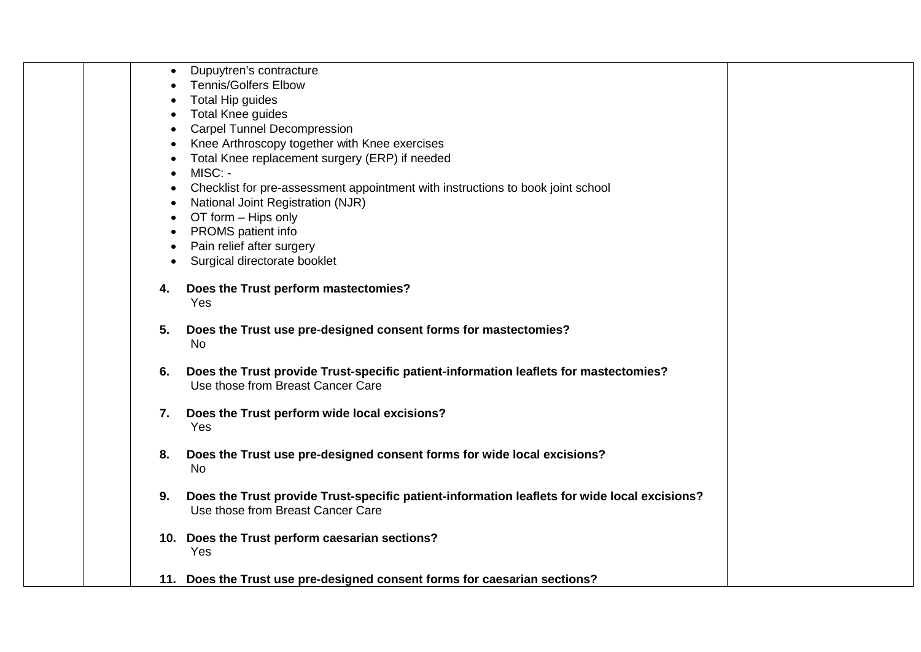|  |    | Dupuytren's contracture                                                                                                           |  |
|--|----|-----------------------------------------------------------------------------------------------------------------------------------|--|
|  |    | <b>Tennis/Golfers Elbow</b>                                                                                                       |  |
|  |    | Total Hip guides                                                                                                                  |  |
|  |    | <b>Total Knee guides</b>                                                                                                          |  |
|  |    | <b>Carpel Tunnel Decompression</b>                                                                                                |  |
|  |    | Knee Arthroscopy together with Knee exercises                                                                                     |  |
|  |    | Total Knee replacement surgery (ERP) if needed                                                                                    |  |
|  |    | MISC: -                                                                                                                           |  |
|  |    | Checklist for pre-assessment appointment with instructions to book joint school                                                   |  |
|  |    | National Joint Registration (NJR)                                                                                                 |  |
|  |    | OT form - Hips only                                                                                                               |  |
|  |    | PROMS patient info                                                                                                                |  |
|  |    | Pain relief after surgery                                                                                                         |  |
|  |    | Surgical directorate booklet                                                                                                      |  |
|  |    |                                                                                                                                   |  |
|  | 4. | Does the Trust perform mastectomies?                                                                                              |  |
|  |    | Yes                                                                                                                               |  |
|  |    |                                                                                                                                   |  |
|  | 5. | Does the Trust use pre-designed consent forms for mastectomies?<br><b>No</b>                                                      |  |
|  |    |                                                                                                                                   |  |
|  | 6. | Does the Trust provide Trust-specific patient-information leaflets for mastectomies?                                              |  |
|  |    | Use those from Breast Cancer Care                                                                                                 |  |
|  |    |                                                                                                                                   |  |
|  | 7. | Does the Trust perform wide local excisions?                                                                                      |  |
|  |    | Yes                                                                                                                               |  |
|  |    |                                                                                                                                   |  |
|  | 8. | Does the Trust use pre-designed consent forms for wide local excisions?                                                           |  |
|  |    | No                                                                                                                                |  |
|  |    |                                                                                                                                   |  |
|  | 9. | Does the Trust provide Trust-specific patient-information leaflets for wide local excisions?<br>Use those from Breast Cancer Care |  |
|  |    |                                                                                                                                   |  |
|  |    | 10. Does the Trust perform caesarian sections?                                                                                    |  |
|  |    | Yes                                                                                                                               |  |
|  |    |                                                                                                                                   |  |
|  |    | 11. Does the Trust use pre-designed consent forms for caesarian sections?                                                         |  |
|  |    |                                                                                                                                   |  |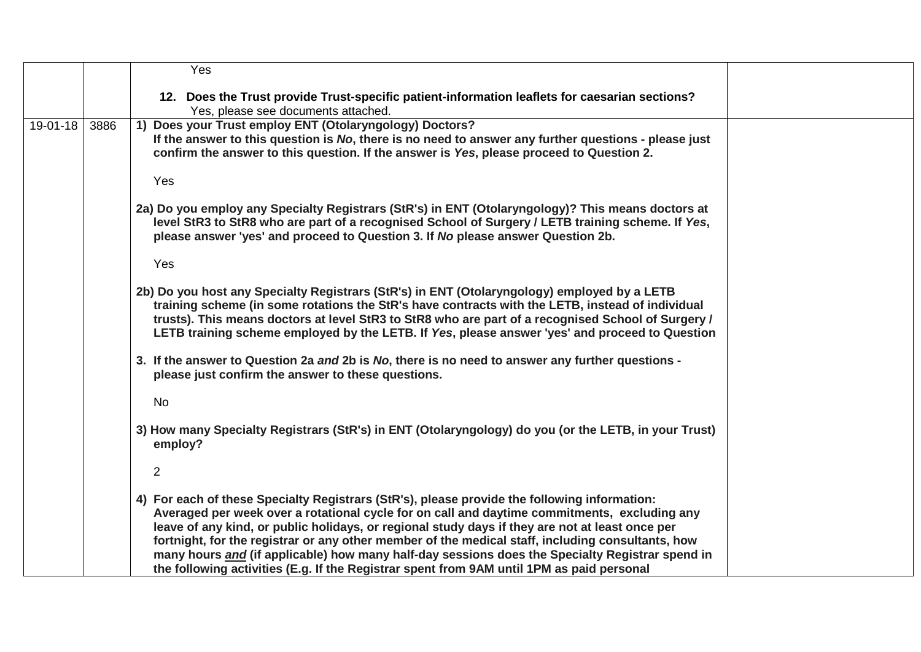|          |      | Yes                                                                                                                                                                                                                                                                                                                                                                                                                                                                                                                                                                                                  |  |
|----------|------|------------------------------------------------------------------------------------------------------------------------------------------------------------------------------------------------------------------------------------------------------------------------------------------------------------------------------------------------------------------------------------------------------------------------------------------------------------------------------------------------------------------------------------------------------------------------------------------------------|--|
|          |      | 12. Does the Trust provide Trust-specific patient-information leaflets for caesarian sections?<br>Yes, please see documents attached.                                                                                                                                                                                                                                                                                                                                                                                                                                                                |  |
| 19-01-18 | 3886 | 1) Does your Trust employ ENT (Otolaryngology) Doctors?<br>If the answer to this question is No, there is no need to answer any further questions - please just<br>confirm the answer to this question. If the answer is Yes, please proceed to Question 2.                                                                                                                                                                                                                                                                                                                                          |  |
|          |      | Yes                                                                                                                                                                                                                                                                                                                                                                                                                                                                                                                                                                                                  |  |
|          |      | 2a) Do you employ any Specialty Registrars (StR's) in ENT (Otolaryngology)? This means doctors at<br>level StR3 to StR8 who are part of a recognised School of Surgery / LETB training scheme. If Yes,<br>please answer 'yes' and proceed to Question 3. If No please answer Question 2b.                                                                                                                                                                                                                                                                                                            |  |
|          |      | Yes                                                                                                                                                                                                                                                                                                                                                                                                                                                                                                                                                                                                  |  |
|          |      | 2b) Do you host any Specialty Registrars (StR's) in ENT (Otolaryngology) employed by a LETB<br>training scheme (in some rotations the StR's have contracts with the LETB, instead of individual<br>trusts). This means doctors at level StR3 to StR8 who are part of a recognised School of Surgery /<br>LETB training scheme employed by the LETB. If Yes, please answer 'yes' and proceed to Question                                                                                                                                                                                              |  |
|          |      | 3. If the answer to Question 2a and 2b is No, there is no need to answer any further questions -<br>please just confirm the answer to these questions.                                                                                                                                                                                                                                                                                                                                                                                                                                               |  |
|          |      | No                                                                                                                                                                                                                                                                                                                                                                                                                                                                                                                                                                                                   |  |
|          |      | 3) How many Specialty Registrars (StR's) in ENT (Otolaryngology) do you (or the LETB, in your Trust)<br>employ?                                                                                                                                                                                                                                                                                                                                                                                                                                                                                      |  |
|          |      | $\overline{2}$                                                                                                                                                                                                                                                                                                                                                                                                                                                                                                                                                                                       |  |
|          |      | 4) For each of these Specialty Registrars (StR's), please provide the following information:<br>Averaged per week over a rotational cycle for on call and daytime commitments, excluding any<br>leave of any kind, or public holidays, or regional study days if they are not at least once per<br>fortnight, for the registrar or any other member of the medical staff, including consultants, how<br>many hours and (if applicable) how many half-day sessions does the Specialty Registrar spend in<br>the following activities (E.g. If the Registrar spent from 9AM until 1PM as paid personal |  |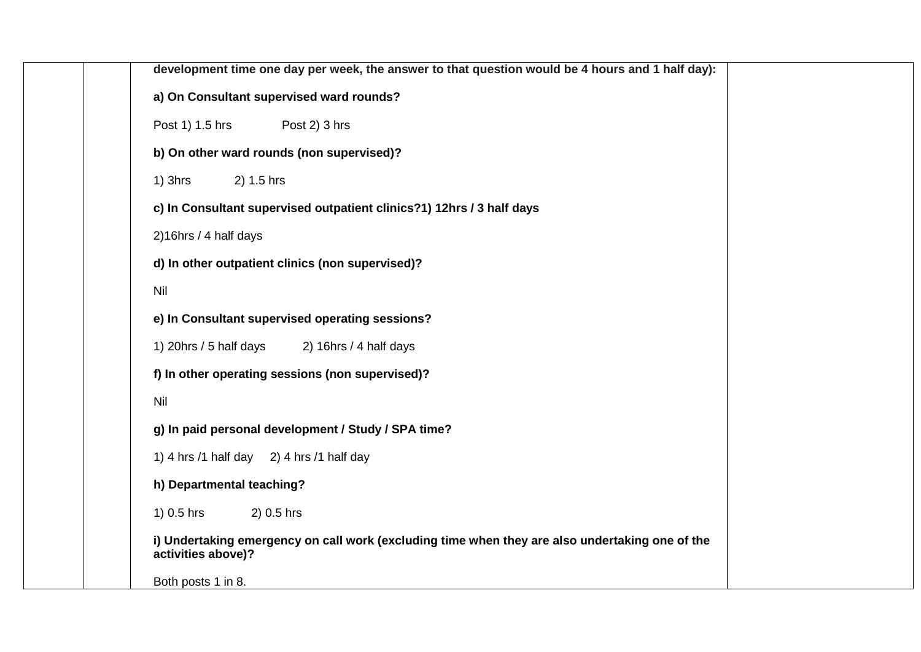| development time one day per week, the answer to that question would be 4 hours and 1 half day):                      |
|-----------------------------------------------------------------------------------------------------------------------|
| a) On Consultant supervised ward rounds?                                                                              |
| Post 1) 1.5 hrs<br>Post 2) 3 hrs                                                                                      |
| b) On other ward rounds (non supervised)?                                                                             |
| $1)$ 3hrs<br>2) 1.5 hrs                                                                                               |
| c) In Consultant supervised outpatient clinics?1) 12hrs / 3 half days                                                 |
| 2)16hrs / 4 half days                                                                                                 |
| d) In other outpatient clinics (non supervised)?                                                                      |
| Nil                                                                                                                   |
| e) In Consultant supervised operating sessions?                                                                       |
| 1) 20hrs / 5 half days<br>2) $16$ hrs / 4 half days                                                                   |
| f) In other operating sessions (non supervised)?                                                                      |
| <b>Nil</b>                                                                                                            |
| g) In paid personal development / Study / SPA time?                                                                   |
| 1) 4 hrs $/1$ half day 2) 4 hrs $/1$ half day                                                                         |
| h) Departmental teaching?                                                                                             |
| 1) $0.5$ hrs<br>2) 0.5 hrs                                                                                            |
| i) Undertaking emergency on call work (excluding time when they are also undertaking one of the<br>activities above)? |
| Both posts 1 in 8.                                                                                                    |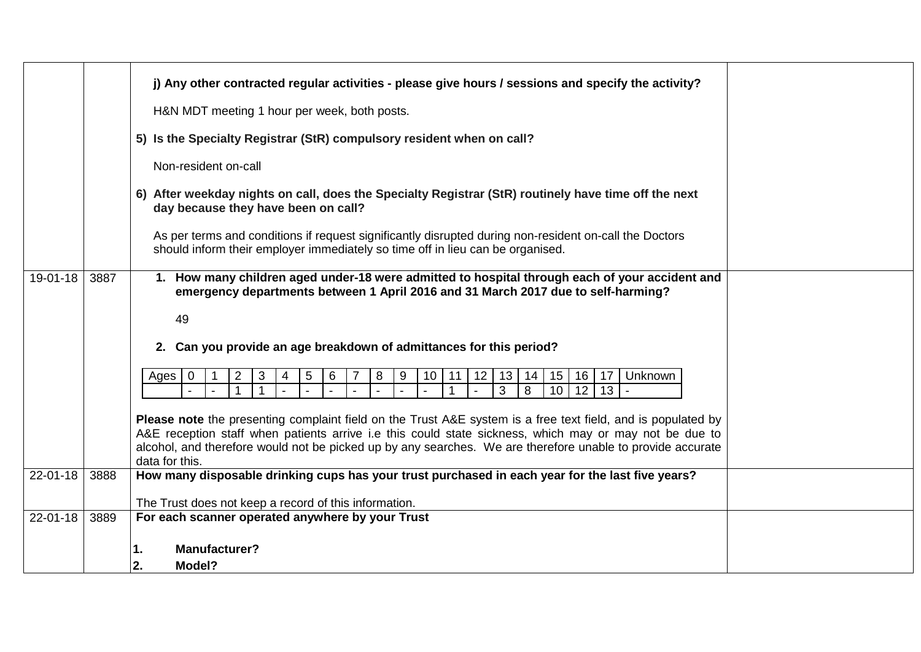|                |      | j) Any other contracted regular activities - please give hours / sessions and specify the activity?                                                                                                                                                                                                                                                    |  |
|----------------|------|--------------------------------------------------------------------------------------------------------------------------------------------------------------------------------------------------------------------------------------------------------------------------------------------------------------------------------------------------------|--|
|                |      | H&N MDT meeting 1 hour per week, both posts.                                                                                                                                                                                                                                                                                                           |  |
|                |      | 5) Is the Specialty Registrar (StR) compulsory resident when on call?                                                                                                                                                                                                                                                                                  |  |
|                |      | Non-resident on-call                                                                                                                                                                                                                                                                                                                                   |  |
|                |      | 6) After weekday nights on call, does the Specialty Registrar (StR) routinely have time off the next<br>day because they have been on call?                                                                                                                                                                                                            |  |
|                |      | As per terms and conditions if request significantly disrupted during non-resident on-call the Doctors<br>should inform their employer immediately so time off in lieu can be organised.                                                                                                                                                               |  |
| $19 - 01 - 18$ | 3887 | 1. How many children aged under-18 were admitted to hospital through each of your accident and<br>emergency departments between 1 April 2016 and 31 March 2017 due to self-harming?                                                                                                                                                                    |  |
|                |      | 49                                                                                                                                                                                                                                                                                                                                                     |  |
|                |      | 2. Can you provide an age breakdown of admittances for this period?                                                                                                                                                                                                                                                                                    |  |
|                |      | 15<br>16<br>17<br>$\overline{2}$<br>3<br>5<br>8<br>12<br>13<br>14<br>Unknown<br>$\mathbf 0$<br>6<br>9<br>10<br>11<br>Ages<br>4<br>3<br>8<br>10<br>12<br>13                                                                                                                                                                                             |  |
|                |      | Please note the presenting complaint field on the Trust A&E system is a free text field, and is populated by<br>A&E reception staff when patients arrive i.e this could state sickness, which may or may not be due to<br>alcohol, and therefore would not be picked up by any searches. We are therefore unable to provide accurate<br>data for this. |  |
| 22-01-18       | 3888 | How many disposable drinking cups has your trust purchased in each year for the last five years?                                                                                                                                                                                                                                                       |  |
|                |      | The Trust does not keep a record of this information.                                                                                                                                                                                                                                                                                                  |  |
| $22 - 01 - 18$ | 3889 | For each scanner operated anywhere by your Trust                                                                                                                                                                                                                                                                                                       |  |
|                |      |                                                                                                                                                                                                                                                                                                                                                        |  |
|                |      | <b>Manufacturer?</b><br>1.                                                                                                                                                                                                                                                                                                                             |  |
|                |      | 2.<br>Model?                                                                                                                                                                                                                                                                                                                                           |  |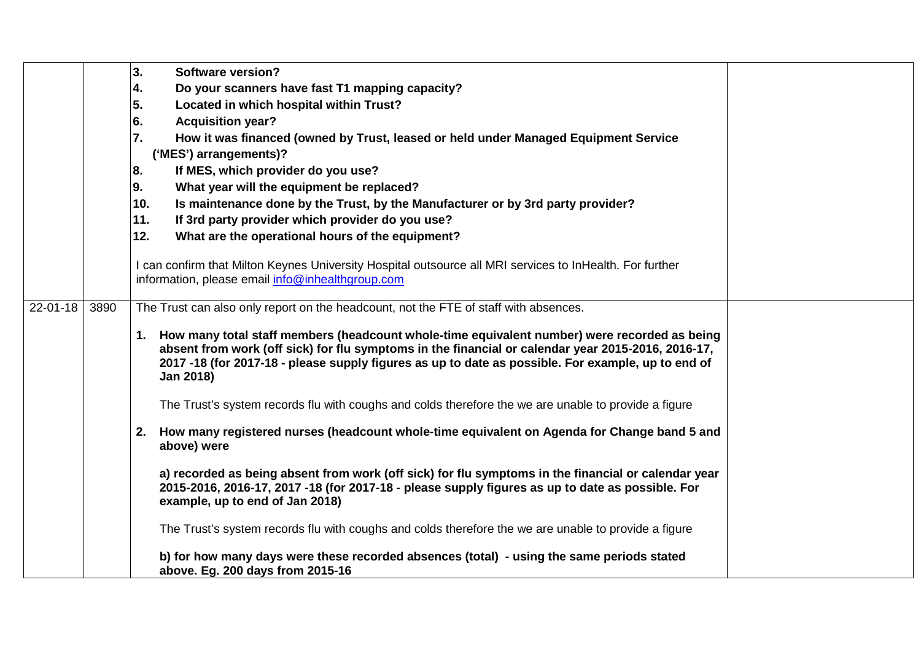| Do your scanners have fast T1 mapping capacity?<br>4.<br>5.<br>Located in which hospital within Trust?<br>6.<br><b>Acquisition year?</b><br>7.<br>How it was financed (owned by Trust, leased or held under Managed Equipment Service<br>('MES') arrangements)?<br>If MES, which provider do you use?<br>8.<br>What year will the equipment be replaced?<br>9.<br>10.<br>Is maintenance done by the Trust, by the Manufacturer or by 3rd party provider?<br>If 3rd party provider which provider do you use?<br>11.<br>12.<br>What are the operational hours of the equipment?<br>I can confirm that Milton Keynes University Hospital outsource all MRI services to InHealth. For further<br>information, please email info@inhealthgroup.com<br>$22 - 01 - 18$<br>3890<br>The Trust can also only report on the headcount, not the FTE of staff with absences.<br>1. How many total staff members (headcount whole-time equivalent number) were recorded as being<br>absent from work (off sick) for flu symptoms in the financial or calendar year 2015-2016, 2016-17,<br>2017 -18 (for 2017-18 - please supply figures as up to date as possible. For example, up to end of<br>Jan 2018) |  | 3.<br><b>Software version?</b> |  |
|----------------------------------------------------------------------------------------------------------------------------------------------------------------------------------------------------------------------------------------------------------------------------------------------------------------------------------------------------------------------------------------------------------------------------------------------------------------------------------------------------------------------------------------------------------------------------------------------------------------------------------------------------------------------------------------------------------------------------------------------------------------------------------------------------------------------------------------------------------------------------------------------------------------------------------------------------------------------------------------------------------------------------------------------------------------------------------------------------------------------------------------------------------------------------------------------|--|--------------------------------|--|
|                                                                                                                                                                                                                                                                                                                                                                                                                                                                                                                                                                                                                                                                                                                                                                                                                                                                                                                                                                                                                                                                                                                                                                                              |  |                                |  |
|                                                                                                                                                                                                                                                                                                                                                                                                                                                                                                                                                                                                                                                                                                                                                                                                                                                                                                                                                                                                                                                                                                                                                                                              |  |                                |  |
|                                                                                                                                                                                                                                                                                                                                                                                                                                                                                                                                                                                                                                                                                                                                                                                                                                                                                                                                                                                                                                                                                                                                                                                              |  |                                |  |
|                                                                                                                                                                                                                                                                                                                                                                                                                                                                                                                                                                                                                                                                                                                                                                                                                                                                                                                                                                                                                                                                                                                                                                                              |  |                                |  |
|                                                                                                                                                                                                                                                                                                                                                                                                                                                                                                                                                                                                                                                                                                                                                                                                                                                                                                                                                                                                                                                                                                                                                                                              |  |                                |  |
|                                                                                                                                                                                                                                                                                                                                                                                                                                                                                                                                                                                                                                                                                                                                                                                                                                                                                                                                                                                                                                                                                                                                                                                              |  |                                |  |
|                                                                                                                                                                                                                                                                                                                                                                                                                                                                                                                                                                                                                                                                                                                                                                                                                                                                                                                                                                                                                                                                                                                                                                                              |  |                                |  |
|                                                                                                                                                                                                                                                                                                                                                                                                                                                                                                                                                                                                                                                                                                                                                                                                                                                                                                                                                                                                                                                                                                                                                                                              |  |                                |  |
|                                                                                                                                                                                                                                                                                                                                                                                                                                                                                                                                                                                                                                                                                                                                                                                                                                                                                                                                                                                                                                                                                                                                                                                              |  |                                |  |
|                                                                                                                                                                                                                                                                                                                                                                                                                                                                                                                                                                                                                                                                                                                                                                                                                                                                                                                                                                                                                                                                                                                                                                                              |  |                                |  |
|                                                                                                                                                                                                                                                                                                                                                                                                                                                                                                                                                                                                                                                                                                                                                                                                                                                                                                                                                                                                                                                                                                                                                                                              |  |                                |  |
|                                                                                                                                                                                                                                                                                                                                                                                                                                                                                                                                                                                                                                                                                                                                                                                                                                                                                                                                                                                                                                                                                                                                                                                              |  |                                |  |
|                                                                                                                                                                                                                                                                                                                                                                                                                                                                                                                                                                                                                                                                                                                                                                                                                                                                                                                                                                                                                                                                                                                                                                                              |  |                                |  |
|                                                                                                                                                                                                                                                                                                                                                                                                                                                                                                                                                                                                                                                                                                                                                                                                                                                                                                                                                                                                                                                                                                                                                                                              |  |                                |  |
|                                                                                                                                                                                                                                                                                                                                                                                                                                                                                                                                                                                                                                                                                                                                                                                                                                                                                                                                                                                                                                                                                                                                                                                              |  |                                |  |
|                                                                                                                                                                                                                                                                                                                                                                                                                                                                                                                                                                                                                                                                                                                                                                                                                                                                                                                                                                                                                                                                                                                                                                                              |  |                                |  |
|                                                                                                                                                                                                                                                                                                                                                                                                                                                                                                                                                                                                                                                                                                                                                                                                                                                                                                                                                                                                                                                                                                                                                                                              |  |                                |  |
|                                                                                                                                                                                                                                                                                                                                                                                                                                                                                                                                                                                                                                                                                                                                                                                                                                                                                                                                                                                                                                                                                                                                                                                              |  |                                |  |
|                                                                                                                                                                                                                                                                                                                                                                                                                                                                                                                                                                                                                                                                                                                                                                                                                                                                                                                                                                                                                                                                                                                                                                                              |  |                                |  |
| The Trust's system records flu with coughs and colds therefore the we are unable to provide a figure                                                                                                                                                                                                                                                                                                                                                                                                                                                                                                                                                                                                                                                                                                                                                                                                                                                                                                                                                                                                                                                                                         |  |                                |  |
|                                                                                                                                                                                                                                                                                                                                                                                                                                                                                                                                                                                                                                                                                                                                                                                                                                                                                                                                                                                                                                                                                                                                                                                              |  |                                |  |
| How many registered nurses (headcount whole-time equivalent on Agenda for Change band 5 and<br>2.                                                                                                                                                                                                                                                                                                                                                                                                                                                                                                                                                                                                                                                                                                                                                                                                                                                                                                                                                                                                                                                                                            |  |                                |  |
| above) were                                                                                                                                                                                                                                                                                                                                                                                                                                                                                                                                                                                                                                                                                                                                                                                                                                                                                                                                                                                                                                                                                                                                                                                  |  |                                |  |
| a) recorded as being absent from work (off sick) for flu symptoms in the financial or calendar year                                                                                                                                                                                                                                                                                                                                                                                                                                                                                                                                                                                                                                                                                                                                                                                                                                                                                                                                                                                                                                                                                          |  |                                |  |
| 2015-2016, 2016-17, 2017 -18 (for 2017-18 - please supply figures as up to date as possible. For                                                                                                                                                                                                                                                                                                                                                                                                                                                                                                                                                                                                                                                                                                                                                                                                                                                                                                                                                                                                                                                                                             |  |                                |  |
| example, up to end of Jan 2018)                                                                                                                                                                                                                                                                                                                                                                                                                                                                                                                                                                                                                                                                                                                                                                                                                                                                                                                                                                                                                                                                                                                                                              |  |                                |  |
|                                                                                                                                                                                                                                                                                                                                                                                                                                                                                                                                                                                                                                                                                                                                                                                                                                                                                                                                                                                                                                                                                                                                                                                              |  |                                |  |
| The Trust's system records flu with coughs and colds therefore the we are unable to provide a figure                                                                                                                                                                                                                                                                                                                                                                                                                                                                                                                                                                                                                                                                                                                                                                                                                                                                                                                                                                                                                                                                                         |  |                                |  |
| b) for how many days were these recorded absences (total) - using the same periods stated                                                                                                                                                                                                                                                                                                                                                                                                                                                                                                                                                                                                                                                                                                                                                                                                                                                                                                                                                                                                                                                                                                    |  |                                |  |
| above. Eg. 200 days from 2015-16                                                                                                                                                                                                                                                                                                                                                                                                                                                                                                                                                                                                                                                                                                                                                                                                                                                                                                                                                                                                                                                                                                                                                             |  |                                |  |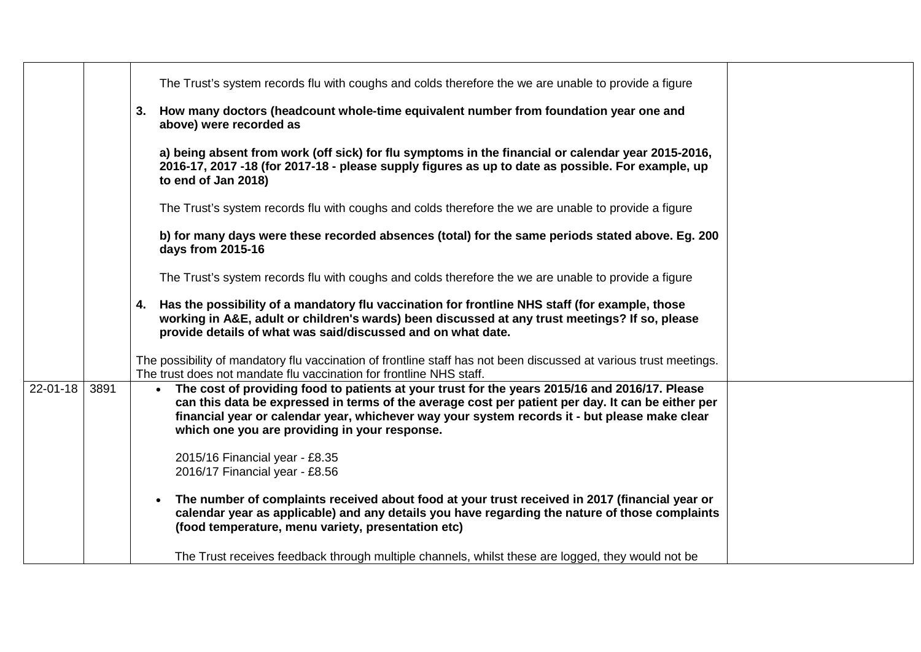|                |      |           | The Trust's system records flu with coughs and colds therefore the we are unable to provide a figure                                                                                                                                                                                                                                                    |  |
|----------------|------|-----------|---------------------------------------------------------------------------------------------------------------------------------------------------------------------------------------------------------------------------------------------------------------------------------------------------------------------------------------------------------|--|
|                |      |           | 3. How many doctors (headcount whole-time equivalent number from foundation year one and<br>above) were recorded as                                                                                                                                                                                                                                     |  |
|                |      |           | a) being absent from work (off sick) for flu symptoms in the financial or calendar year 2015-2016,<br>2016-17, 2017 -18 (for 2017-18 - please supply figures as up to date as possible. For example, up<br>to end of Jan 2018)                                                                                                                          |  |
|                |      |           | The Trust's system records flu with coughs and colds therefore the we are unable to provide a figure                                                                                                                                                                                                                                                    |  |
|                |      |           | b) for many days were these recorded absences (total) for the same periods stated above. Eg. 200<br>days from 2015-16                                                                                                                                                                                                                                   |  |
|                |      |           | The Trust's system records flu with coughs and colds therefore the we are unable to provide a figure                                                                                                                                                                                                                                                    |  |
|                |      |           | 4. Has the possibility of a mandatory flu vaccination for frontline NHS staff (for example, those<br>working in A&E, adult or children's wards) been discussed at any trust meetings? If so, please<br>provide details of what was said/discussed and on what date.                                                                                     |  |
|                |      |           | The possibility of mandatory flu vaccination of frontline staff has not been discussed at various trust meetings.<br>The trust does not mandate flu vaccination for frontline NHS staff.                                                                                                                                                                |  |
| $22 - 01 - 18$ | 3891 |           | • The cost of providing food to patients at your trust for the years 2015/16 and 2016/17. Please<br>can this data be expressed in terms of the average cost per patient per day. It can be either per<br>financial year or calendar year, whichever way your system records it - but please make clear<br>which one you are providing in your response. |  |
|                |      |           | 2015/16 Financial year - £8.35<br>2016/17 Financial year - £8.56                                                                                                                                                                                                                                                                                        |  |
|                |      | $\bullet$ | The number of complaints received about food at your trust received in 2017 (financial year or<br>calendar year as applicable) and any details you have regarding the nature of those complaints<br>(food temperature, menu variety, presentation etc)                                                                                                  |  |
|                |      |           | The Trust receives feedback through multiple channels, whilst these are logged, they would not be                                                                                                                                                                                                                                                       |  |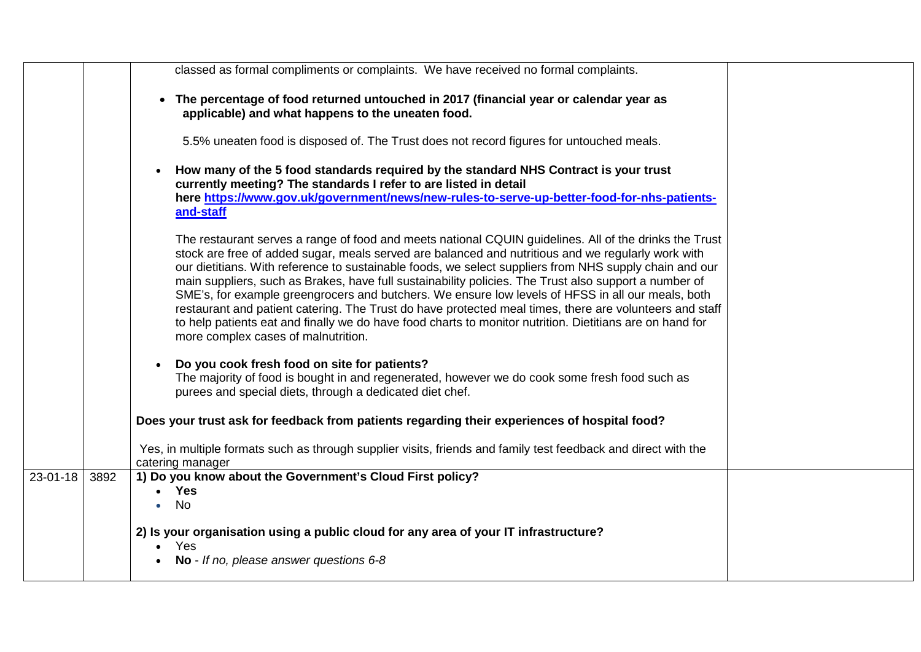|          |      | classed as formal compliments or complaints. We have received no formal complaints.                                                                                                                                                                                                                                                                                                                                                                                                                                                                                                                                                                                                                                                                                                                |  |
|----------|------|----------------------------------------------------------------------------------------------------------------------------------------------------------------------------------------------------------------------------------------------------------------------------------------------------------------------------------------------------------------------------------------------------------------------------------------------------------------------------------------------------------------------------------------------------------------------------------------------------------------------------------------------------------------------------------------------------------------------------------------------------------------------------------------------------|--|
|          |      | • The percentage of food returned untouched in 2017 (financial year or calendar year as<br>applicable) and what happens to the uneaten food.                                                                                                                                                                                                                                                                                                                                                                                                                                                                                                                                                                                                                                                       |  |
|          |      | 5.5% uneaten food is disposed of. The Trust does not record figures for untouched meals.                                                                                                                                                                                                                                                                                                                                                                                                                                                                                                                                                                                                                                                                                                           |  |
|          |      | How many of the 5 food standards required by the standard NHS Contract is your trust<br>$\bullet$<br>currently meeting? The standards I refer to are listed in detail<br>here https://www.gov.uk/government/news/new-rules-to-serve-up-better-food-for-nhs-patients-<br>and-staff                                                                                                                                                                                                                                                                                                                                                                                                                                                                                                                  |  |
|          |      | The restaurant serves a range of food and meets national CQUIN guidelines. All of the drinks the Trust<br>stock are free of added sugar, meals served are balanced and nutritious and we regularly work with<br>our dietitians. With reference to sustainable foods, we select suppliers from NHS supply chain and our<br>main suppliers, such as Brakes, have full sustainability policies. The Trust also support a number of<br>SME's, for example greengrocers and butchers. We ensure low levels of HFSS in all our meals, both<br>restaurant and patient catering. The Trust do have protected meal times, there are volunteers and staff<br>to help patients eat and finally we do have food charts to monitor nutrition. Dietitians are on hand for<br>more complex cases of malnutrition. |  |
|          |      | Do you cook fresh food on site for patients?<br>The majority of food is bought in and regenerated, however we do cook some fresh food such as<br>purees and special diets, through a dedicated diet chef.                                                                                                                                                                                                                                                                                                                                                                                                                                                                                                                                                                                          |  |
|          |      | Does your trust ask for feedback from patients regarding their experiences of hospital food?                                                                                                                                                                                                                                                                                                                                                                                                                                                                                                                                                                                                                                                                                                       |  |
|          |      | Yes, in multiple formats such as through supplier visits, friends and family test feedback and direct with the<br>catering manager                                                                                                                                                                                                                                                                                                                                                                                                                                                                                                                                                                                                                                                                 |  |
| 23-01-18 | 3892 | 1) Do you know about the Government's Cloud First policy?<br><b>Yes</b><br><b>No</b>                                                                                                                                                                                                                                                                                                                                                                                                                                                                                                                                                                                                                                                                                                               |  |
|          |      | 2) Is your organisation using a public cloud for any area of your IT infrastructure?<br>Yes<br>$\bullet$<br>No - If no, please answer questions 6-8                                                                                                                                                                                                                                                                                                                                                                                                                                                                                                                                                                                                                                                |  |
|          |      |                                                                                                                                                                                                                                                                                                                                                                                                                                                                                                                                                                                                                                                                                                                                                                                                    |  |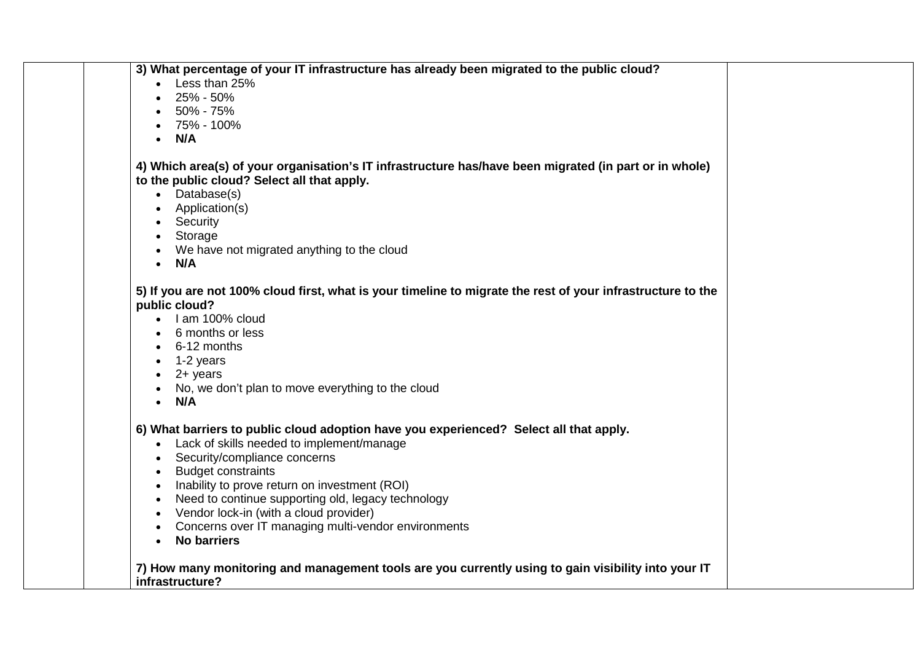| 3) What percentage of your IT infrastructure has already been migrated to the public cloud?                 |
|-------------------------------------------------------------------------------------------------------------|
| Less than 25%                                                                                               |
| 25% - 50%                                                                                                   |
| 50% - 75%                                                                                                   |
| 75% - 100%                                                                                                  |
| N/A                                                                                                         |
|                                                                                                             |
| 4) Which area(s) of your organisation's IT infrastructure has/have been migrated (in part or in whole)      |
| to the public cloud? Select all that apply.                                                                 |
| Database(s)<br>$\bullet$                                                                                    |
| Application(s)                                                                                              |
| Security                                                                                                    |
| Storage                                                                                                     |
| We have not migrated anything to the cloud                                                                  |
| N/A<br>$\bullet$                                                                                            |
|                                                                                                             |
| 5) If you are not 100% cloud first, what is your timeline to migrate the rest of your infrastructure to the |
| public cloud?                                                                                               |
| I am 100% cloud                                                                                             |
| 6 months or less                                                                                            |
| 6-12 months                                                                                                 |
| 1-2 years                                                                                                   |
| $2 +$ years                                                                                                 |
| No, we don't plan to move everything to the cloud                                                           |
| $\bullet$ N/A                                                                                               |
|                                                                                                             |
| 6) What barriers to public cloud adoption have you experienced? Select all that apply.                      |
| Lack of skills needed to implement/manage<br>$\bullet$                                                      |
| Security/compliance concerns                                                                                |
| <b>Budget constraints</b>                                                                                   |
| Inability to prove return on investment (ROI)                                                               |
| Need to continue supporting old, legacy technology                                                          |
| Vendor lock-in (with a cloud provider)                                                                      |
| Concerns over IT managing multi-vendor environments                                                         |
| <b>No barriers</b>                                                                                          |
|                                                                                                             |
| 7) How many monitoring and management tools are you currently using to gain visibility into your IT         |
| infrastructure?                                                                                             |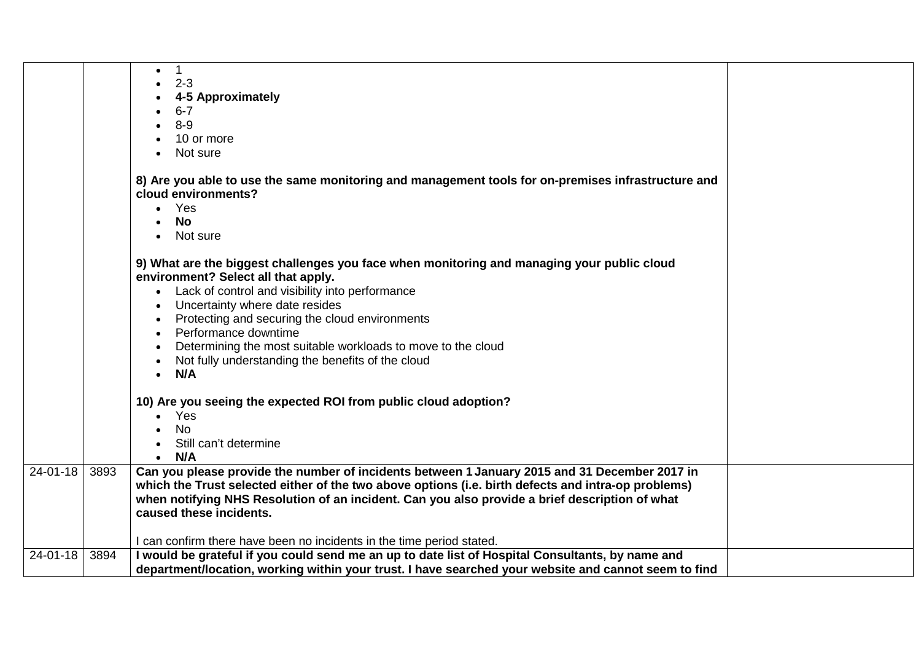|                |      | $\mathbf 1$<br>$\bullet$<br>$2 - 3$<br>4-5 Approximately<br>$6 - 7$<br>$8-9$<br>10 or more<br>Not sure<br>8) Are you able to use the same monitoring and management tools for on-premises infrastructure and<br>cloud environments?<br>Yes<br>$\bullet$<br>No<br>Not sure<br>$\bullet$<br>9) What are the biggest challenges you face when monitoring and managing your public cloud<br>environment? Select all that apply.<br>• Lack of control and visibility into performance<br>Uncertainty where date resides<br>Protecting and securing the cloud environments<br>Performance downtime<br>Determining the most suitable workloads to move to the cloud<br>Not fully understanding the benefits of the cloud<br>N/A<br>$\bullet$<br>10) Are you seeing the expected ROI from public cloud adoption?<br>Yes<br><b>No</b> |  |
|----------------|------|------------------------------------------------------------------------------------------------------------------------------------------------------------------------------------------------------------------------------------------------------------------------------------------------------------------------------------------------------------------------------------------------------------------------------------------------------------------------------------------------------------------------------------------------------------------------------------------------------------------------------------------------------------------------------------------------------------------------------------------------------------------------------------------------------------------------------|--|
|                |      | Still can't determine                                                                                                                                                                                                                                                                                                                                                                                                                                                                                                                                                                                                                                                                                                                                                                                                        |  |
|                |      | N/A<br>$\bullet$                                                                                                                                                                                                                                                                                                                                                                                                                                                                                                                                                                                                                                                                                                                                                                                                             |  |
| 24-01-18       | 3893 | Can you please provide the number of incidents between 1 January 2015 and 31 December 2017 in<br>which the Trust selected either of the two above options (i.e. birth defects and intra-op problems)<br>when notifying NHS Resolution of an incident. Can you also provide a brief description of what<br>caused these incidents.<br>I can confirm there have been no incidents in the time period stated.                                                                                                                                                                                                                                                                                                                                                                                                                   |  |
| $24 - 01 - 18$ | 3894 | I would be grateful if you could send me an up to date list of Hospital Consultants, by name and                                                                                                                                                                                                                                                                                                                                                                                                                                                                                                                                                                                                                                                                                                                             |  |
|                |      | department/location, working within your trust. I have searched your website and cannot seem to find                                                                                                                                                                                                                                                                                                                                                                                                                                                                                                                                                                                                                                                                                                                         |  |
|                |      |                                                                                                                                                                                                                                                                                                                                                                                                                                                                                                                                                                                                                                                                                                                                                                                                                              |  |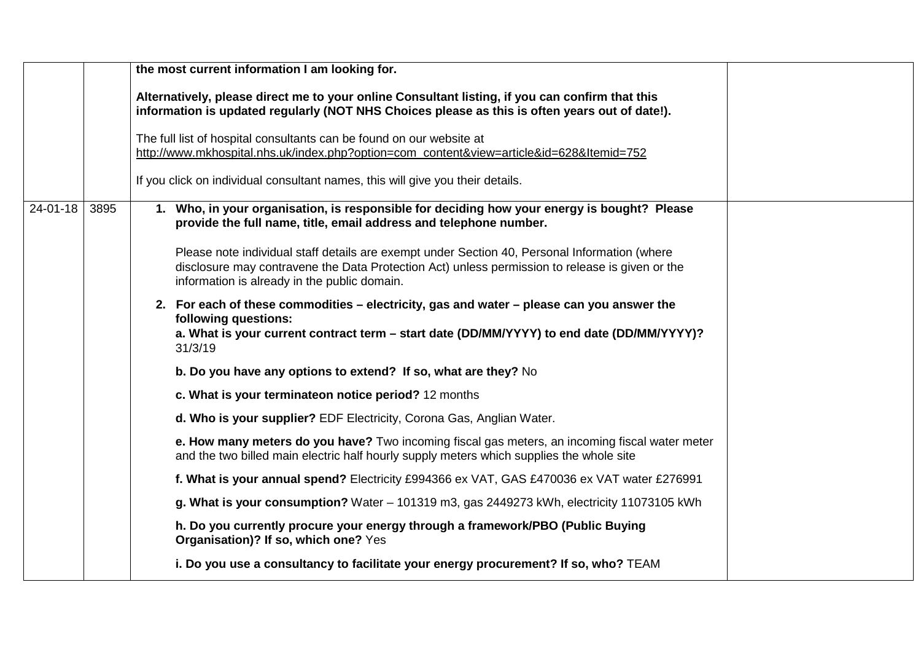|                |      | the most current information I am looking for.                                                                                                                                                                                                   |  |
|----------------|------|--------------------------------------------------------------------------------------------------------------------------------------------------------------------------------------------------------------------------------------------------|--|
|                |      | Alternatively, please direct me to your online Consultant listing, if you can confirm that this<br>information is updated regularly (NOT NHS Choices please as this is often years out of date!).                                                |  |
|                |      | The full list of hospital consultants can be found on our website at<br>http://www.mkhospital.nhs.uk/index.php?option=com_content&view=article&id=628&Itemid=752                                                                                 |  |
|                |      | If you click on individual consultant names, this will give you their details.                                                                                                                                                                   |  |
| $24 - 01 - 18$ | 3895 | 1. Who, in your organisation, is responsible for deciding how your energy is bought? Please<br>provide the full name, title, email address and telephone number.                                                                                 |  |
|                |      | Please note individual staff details are exempt under Section 40, Personal Information (where<br>disclosure may contravene the Data Protection Act) unless permission to release is given or the<br>information is already in the public domain. |  |
|                |      | 2. For each of these commodities – electricity, gas and water – please can you answer the<br>following questions:<br>a. What is your current contract term - start date (DD/MM/YYYY) to end date (DD/MM/YYYY)?<br>31/3/19                        |  |
|                |      | b. Do you have any options to extend? If so, what are they? No                                                                                                                                                                                   |  |
|                |      | c. What is your terminateon notice period? 12 months                                                                                                                                                                                             |  |
|                |      | d. Who is your supplier? EDF Electricity, Corona Gas, Anglian Water.                                                                                                                                                                             |  |
|                |      | e. How many meters do you have? Two incoming fiscal gas meters, an incoming fiscal water meter<br>and the two billed main electric half hourly supply meters which supplies the whole site                                                       |  |
|                |      | f. What is your annual spend? Electricity £994366 ex VAT, GAS £470036 ex VAT water £276991                                                                                                                                                       |  |
|                |      | g. What is your consumption? Water - 101319 m3, gas 2449273 kWh, electricity 11073105 kWh                                                                                                                                                        |  |
|                |      | h. Do you currently procure your energy through a framework/PBO (Public Buying<br>Organisation)? If so, which one? Yes                                                                                                                           |  |
|                |      | i. Do you use a consultancy to facilitate your energy procurement? If so, who? TEAM                                                                                                                                                              |  |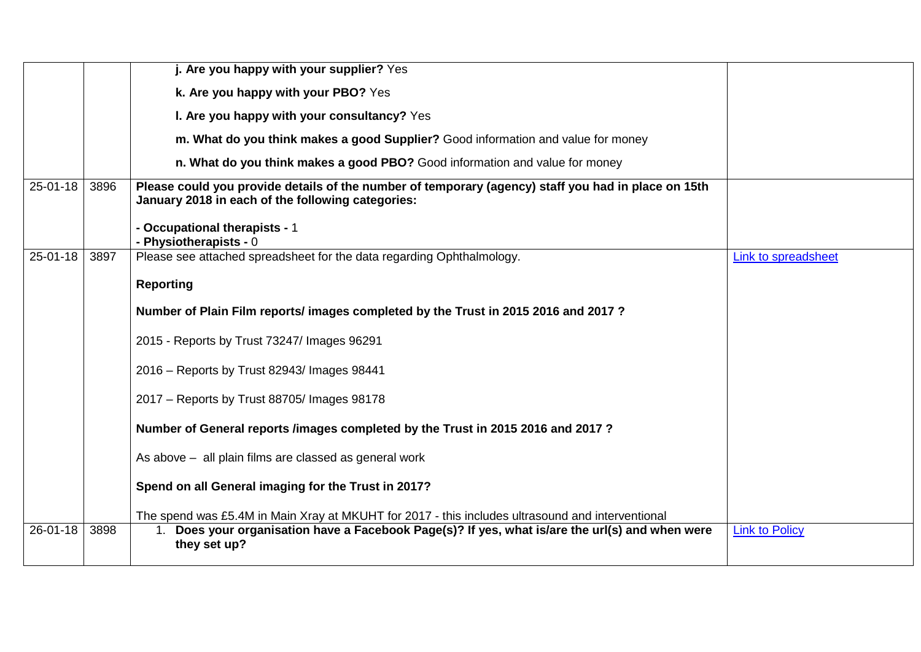|                |      | j. Are you happy with your supplier? Yes                                                                                                                 |                       |
|----------------|------|----------------------------------------------------------------------------------------------------------------------------------------------------------|-----------------------|
|                |      | k. Are you happy with your PBO? Yes                                                                                                                      |                       |
|                |      | I. Are you happy with your consultancy? Yes                                                                                                              |                       |
|                |      | m. What do you think makes a good Supplier? Good information and value for money                                                                         |                       |
|                |      | n. What do you think makes a good PBO? Good information and value for money                                                                              |                       |
| $25 - 01 - 18$ | 3896 | Please could you provide details of the number of temporary (agency) staff you had in place on 15th<br>January 2018 in each of the following categories: |                       |
|                |      | - Occupational therapists - 1<br>- Physiotherapists - 0                                                                                                  |                       |
| 25-01-18       | 3897 | Please see attached spreadsheet for the data regarding Ophthalmology.                                                                                    | Link to spreadsheet   |
|                |      | <b>Reporting</b>                                                                                                                                         |                       |
|                |      | Number of Plain Film reports/ images completed by the Trust in 2015 2016 and 2017?                                                                       |                       |
|                |      | 2015 - Reports by Trust 73247/ Images 96291                                                                                                              |                       |
|                |      | 2016 – Reports by Trust 82943/ Images 98441                                                                                                              |                       |
|                |      | 2017 - Reports by Trust 88705/ Images 98178                                                                                                              |                       |
|                |      | Number of General reports /images completed by the Trust in 2015 2016 and 2017?                                                                          |                       |
|                |      | As above - all plain films are classed as general work                                                                                                   |                       |
|                |      | Spend on all General imaging for the Trust in 2017?                                                                                                      |                       |
|                |      | The spend was £5.4M in Main Xray at MKUHT for 2017 - this includes ultrasound and interventional                                                         |                       |
| 26-01-18       | 3898 | Does your organisation have a Facebook Page(s)? If yes, what is/are the url(s) and when were<br>they set up?                                             | <b>Link to Policy</b> |
|                |      |                                                                                                                                                          |                       |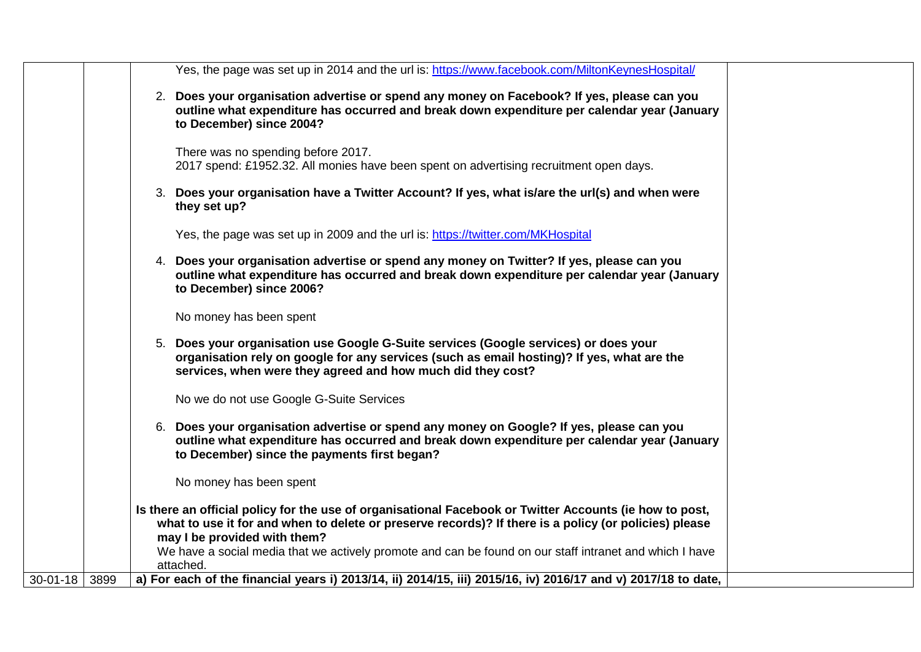|                |      | Yes, the page was set up in 2014 and the url is: https://www.facebook.com/MiltonKeynesHospital/                                                                                                                                                   |
|----------------|------|---------------------------------------------------------------------------------------------------------------------------------------------------------------------------------------------------------------------------------------------------|
|                |      | 2. Does your organisation advertise or spend any money on Facebook? If yes, please can you<br>outline what expenditure has occurred and break down expenditure per calendar year (January<br>to December) since 2004?                             |
|                |      | There was no spending before 2017.<br>2017 spend: £1952.32. All monies have been spent on advertising recruitment open days.                                                                                                                      |
|                |      | 3. Does your organisation have a Twitter Account? If yes, what is/are the url(s) and when were<br>they set up?                                                                                                                                    |
|                |      | Yes, the page was set up in 2009 and the url is: https://twitter.com/MKHospital                                                                                                                                                                   |
|                |      | 4. Does your organisation advertise or spend any money on Twitter? If yes, please can you<br>outline what expenditure has occurred and break down expenditure per calendar year (January<br>to December) since 2006?                              |
|                |      | No money has been spent                                                                                                                                                                                                                           |
|                |      | 5. Does your organisation use Google G-Suite services (Google services) or does your<br>organisation rely on google for any services (such as email hosting)? If yes, what are the<br>services, when were they agreed and how much did they cost? |
|                |      | No we do not use Google G-Suite Services                                                                                                                                                                                                          |
|                |      | 6. Does your organisation advertise or spend any money on Google? If yes, please can you<br>outline what expenditure has occurred and break down expenditure per calendar year (January<br>to December) since the payments first began?           |
|                |      | No money has been spent                                                                                                                                                                                                                           |
|                |      | Is there an official policy for the use of organisational Facebook or Twitter Accounts (ie how to post,<br>what to use it for and when to delete or preserve records)? If there is a policy (or policies) please<br>may I be provided with them?  |
|                |      | We have a social media that we actively promote and can be found on our staff intranet and which I have<br>attached.                                                                                                                              |
| $30 - 01 - 18$ | 3899 | a) For each of the financial years i) 2013/14, ii) 2014/15, iii) 2015/16, iv) 2016/17 and v) 2017/18 to date,                                                                                                                                     |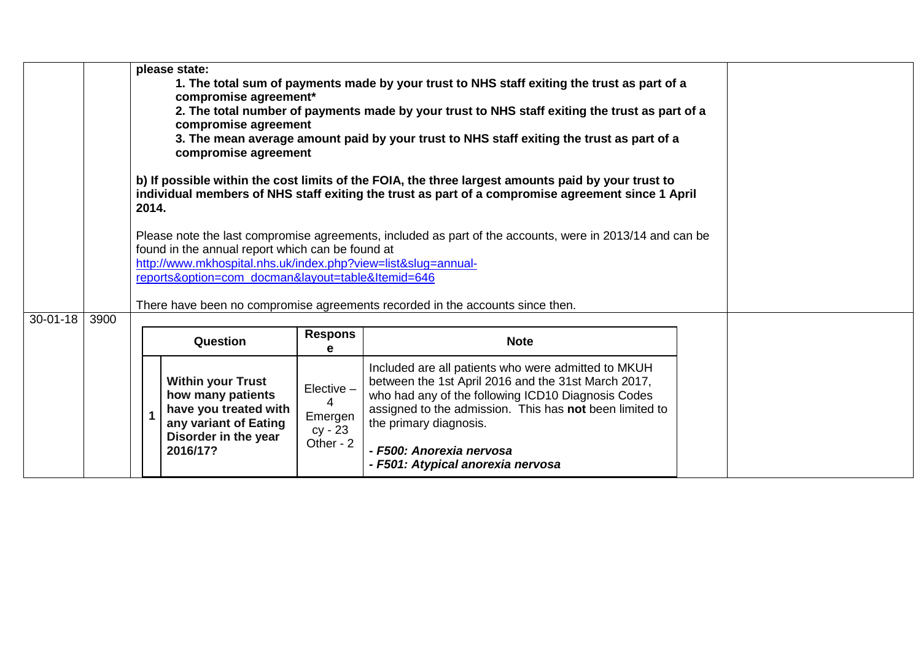|                |      |       | please state:<br>1. The total sum of payments made by your trust to NHS staff exiting the trust as part of a<br>compromise agreement*<br>2. The total number of payments made by your trust to NHS staff exiting the trust as part of a<br>compromise agreement<br>3. The mean average amount paid by your trust to NHS staff exiting the trust as part of a<br>compromise agreement |                                                    |                                                                                                                                                                                                                                                                                                                        |  |  |
|----------------|------|-------|--------------------------------------------------------------------------------------------------------------------------------------------------------------------------------------------------------------------------------------------------------------------------------------------------------------------------------------------------------------------------------------|----------------------------------------------------|------------------------------------------------------------------------------------------------------------------------------------------------------------------------------------------------------------------------------------------------------------------------------------------------------------------------|--|--|
|                |      | 2014. |                                                                                                                                                                                                                                                                                                                                                                                      |                                                    | b) If possible within the cost limits of the FOIA, the three largest amounts paid by your trust to<br>individual members of NHS staff exiting the trust as part of a compromise agreement since 1 April                                                                                                                |  |  |
|                |      |       | found in the annual report which can be found at<br>http://www.mkhospital.nhs.uk/index.php?view=list&slug=annual-<br>reports&option=com_docman&layout=table&Itemid=646                                                                                                                                                                                                               |                                                    | Please note the last compromise agreements, included as part of the accounts, were in 2013/14 and can be<br>There have been no compromise agreements recorded in the accounts since then.                                                                                                                              |  |  |
| $30 - 01 - 18$ | 3900 |       | Question                                                                                                                                                                                                                                                                                                                                                                             | <b>Respons</b><br>e                                | <b>Note</b>                                                                                                                                                                                                                                                                                                            |  |  |
|                |      |       | <b>Within your Trust</b><br>how many patients<br>have you treated with<br>any variant of Eating<br>Disorder in the year<br>2016/17?                                                                                                                                                                                                                                                  | Elective -<br>4<br>Emergen<br>cy - 23<br>Other - 2 | Included are all patients who were admitted to MKUH<br>between the 1st April 2016 and the 31st March 2017,<br>who had any of the following ICD10 Diagnosis Codes<br>assigned to the admission. This has not been limited to<br>the primary diagnosis.<br>- F500: Anorexia nervosa<br>- F501: Atypical anorexia nervosa |  |  |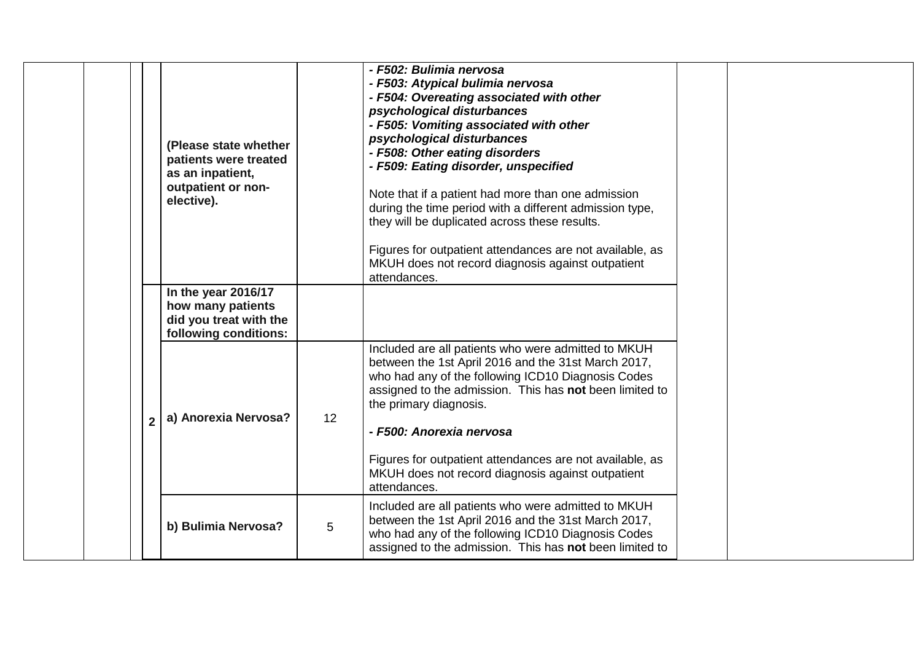|                | (Please state whether<br>patients were treated<br>as an inpatient,<br>outpatient or non-<br>elective). |    | - F502: Bulimia nervosa<br>- F503: Atypical bulimia nervosa<br>- F504: Overeating associated with other<br>psychological disturbances<br>- F505: Vomiting associated with other<br>psychological disturbances<br>- F508: Other eating disorders<br>- F509: Eating disorder, unspecified<br>Note that if a patient had more than one admission<br>during the time period with a different admission type,<br>they will be duplicated across these results.<br>Figures for outpatient attendances are not available, as<br>MKUH does not record diagnosis against outpatient<br>attendances. |
|----------------|--------------------------------------------------------------------------------------------------------|----|--------------------------------------------------------------------------------------------------------------------------------------------------------------------------------------------------------------------------------------------------------------------------------------------------------------------------------------------------------------------------------------------------------------------------------------------------------------------------------------------------------------------------------------------------------------------------------------------|
|                | In the year 2016/17<br>how many patients<br>did you treat with the<br>following conditions:            |    |                                                                                                                                                                                                                                                                                                                                                                                                                                                                                                                                                                                            |
| $\overline{2}$ | a) Anorexia Nervosa?                                                                                   | 12 | Included are all patients who were admitted to MKUH<br>between the 1st April 2016 and the 31st March 2017,<br>who had any of the following ICD10 Diagnosis Codes<br>assigned to the admission. This has not been limited to<br>the primary diagnosis.<br>- F500: Anorexia nervosa<br>Figures for outpatient attendances are not available, as<br>MKUH does not record diagnosis against outpatient<br>attendances.                                                                                                                                                                         |
|                | b) Bulimia Nervosa?                                                                                    | 5  | Included are all patients who were admitted to MKUH<br>between the 1st April 2016 and the 31st March 2017,<br>who had any of the following ICD10 Diagnosis Codes<br>assigned to the admission. This has not been limited to                                                                                                                                                                                                                                                                                                                                                                |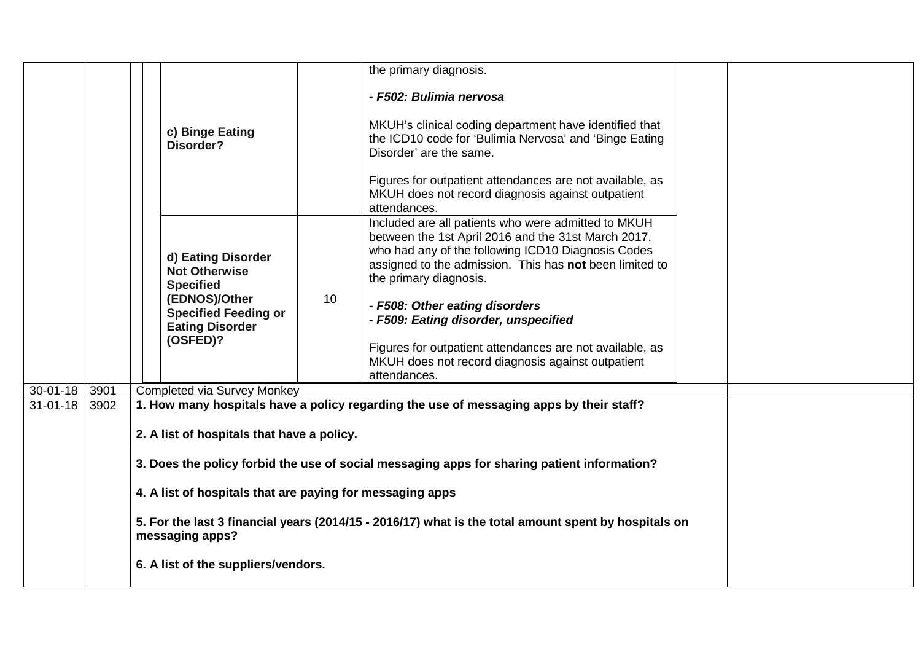|                 |      |                                                                                                                         | the primary diagnosis.                                                                                                                                                                                                                                |  |  |  |
|-----------------|------|-------------------------------------------------------------------------------------------------------------------------|-------------------------------------------------------------------------------------------------------------------------------------------------------------------------------------------------------------------------------------------------------|--|--|--|
|                 |      |                                                                                                                         | - F502: Bulimia nervosa                                                                                                                                                                                                                               |  |  |  |
|                 |      | c) Binge Eating<br>Disorder?                                                                                            | MKUH's clinical coding department have identified that<br>the ICD10 code for 'Bulimia Nervosa' and 'Binge Eating<br>Disorder' are the same.                                                                                                           |  |  |  |
|                 |      |                                                                                                                         | Figures for outpatient attendances are not available, as<br>MKUH does not record diagnosis against outpatient<br>attendances.                                                                                                                         |  |  |  |
|                 |      | d) Eating Disorder<br><b>Not Otherwise</b><br><b>Specified</b>                                                          | Included are all patients who were admitted to MKUH<br>between the 1st April 2016 and the 31st March 2017,<br>who had any of the following ICD10 Diagnosis Codes<br>assigned to the admission. This has not been limited to<br>the primary diagnosis. |  |  |  |
|                 |      | (EDNOS)/Other<br><b>Specified Feeding or</b><br><b>Eating Disorder</b>                                                  | 10<br>- F508: Other eating disorders<br>- F509: Eating disorder, unspecified                                                                                                                                                                          |  |  |  |
|                 |      | (OSFED)?                                                                                                                | Figures for outpatient attendances are not available, as<br>MKUH does not record diagnosis against outpatient<br>attendances.                                                                                                                         |  |  |  |
| $30-01-18$ 3901 |      | Completed via Survey Monkey                                                                                             |                                                                                                                                                                                                                                                       |  |  |  |
| $31 - 01 - 18$  | 3902 |                                                                                                                         | 1. How many hospitals have a policy regarding the use of messaging apps by their staff?                                                                                                                                                               |  |  |  |
|                 |      | 2. A list of hospitals that have a policy.                                                                              |                                                                                                                                                                                                                                                       |  |  |  |
|                 |      | 3. Does the policy forbid the use of social messaging apps for sharing patient information?                             |                                                                                                                                                                                                                                                       |  |  |  |
|                 |      | 4. A list of hospitals that are paying for messaging apps                                                               |                                                                                                                                                                                                                                                       |  |  |  |
|                 |      | 5. For the last 3 financial years (2014/15 - 2016/17) what is the total amount spent by hospitals on<br>messaging apps? |                                                                                                                                                                                                                                                       |  |  |  |
|                 |      |                                                                                                                         |                                                                                                                                                                                                                                                       |  |  |  |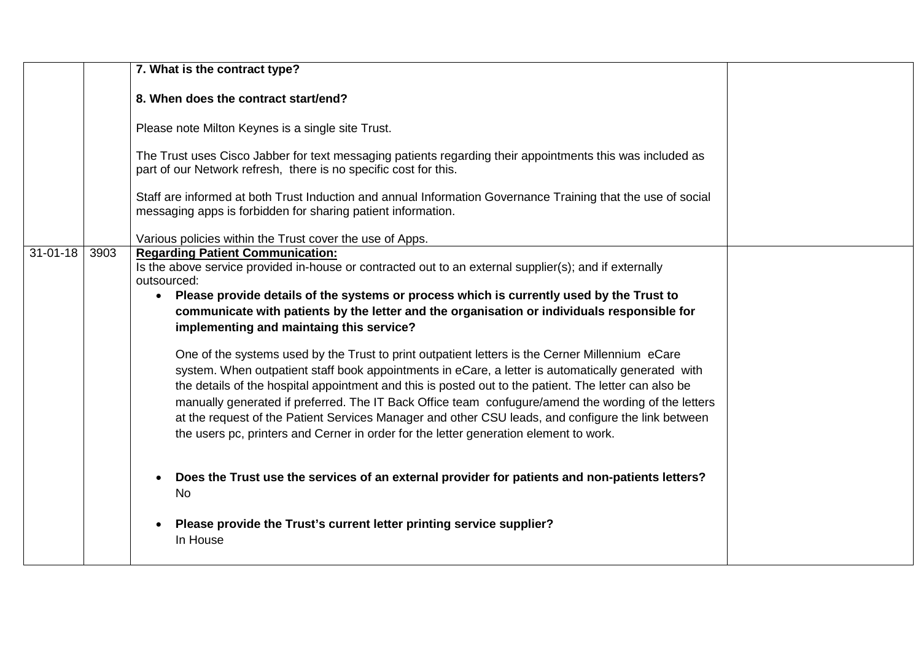|                |      | 7. What is the contract type?                                                                                                                                                                                                                                                                                                                                                                                                                                                                                                                                                                                                                                                                                                                                                                                                                 |  |
|----------------|------|-----------------------------------------------------------------------------------------------------------------------------------------------------------------------------------------------------------------------------------------------------------------------------------------------------------------------------------------------------------------------------------------------------------------------------------------------------------------------------------------------------------------------------------------------------------------------------------------------------------------------------------------------------------------------------------------------------------------------------------------------------------------------------------------------------------------------------------------------|--|
|                |      | 8. When does the contract start/end?                                                                                                                                                                                                                                                                                                                                                                                                                                                                                                                                                                                                                                                                                                                                                                                                          |  |
|                |      | Please note Milton Keynes is a single site Trust.                                                                                                                                                                                                                                                                                                                                                                                                                                                                                                                                                                                                                                                                                                                                                                                             |  |
|                |      | The Trust uses Cisco Jabber for text messaging patients regarding their appointments this was included as<br>part of our Network refresh, there is no specific cost for this.                                                                                                                                                                                                                                                                                                                                                                                                                                                                                                                                                                                                                                                                 |  |
|                |      | Staff are informed at both Trust Induction and annual Information Governance Training that the use of social<br>messaging apps is forbidden for sharing patient information.                                                                                                                                                                                                                                                                                                                                                                                                                                                                                                                                                                                                                                                                  |  |
|                |      | Various policies within the Trust cover the use of Apps.                                                                                                                                                                                                                                                                                                                                                                                                                                                                                                                                                                                                                                                                                                                                                                                      |  |
| $31 - 01 - 18$ | 3903 | <b>Regarding Patient Communication:</b><br>Is the above service provided in-house or contracted out to an external supplier(s); and if externally<br>outsourced:<br>Please provide details of the systems or process which is currently used by the Trust to<br>$\bullet$<br>communicate with patients by the letter and the organisation or individuals responsible for<br>implementing and maintaing this service?<br>One of the systems used by the Trust to print outpatient letters is the Cerner Millennium eCare<br>system. When outpatient staff book appointments in eCare, a letter is automatically generated with<br>the details of the hospital appointment and this is posted out to the patient. The letter can also be<br>manually generated if preferred. The IT Back Office team confugure/amend the wording of the letters |  |
|                |      | at the request of the Patient Services Manager and other CSU leads, and configure the link between<br>the users pc, printers and Cerner in order for the letter generation element to work.                                                                                                                                                                                                                                                                                                                                                                                                                                                                                                                                                                                                                                                   |  |
|                |      | Does the Trust use the services of an external provider for patients and non-patients letters?<br><b>No</b>                                                                                                                                                                                                                                                                                                                                                                                                                                                                                                                                                                                                                                                                                                                                   |  |
|                |      | Please provide the Trust's current letter printing service supplier?<br>$\bullet$<br>In House                                                                                                                                                                                                                                                                                                                                                                                                                                                                                                                                                                                                                                                                                                                                                 |  |